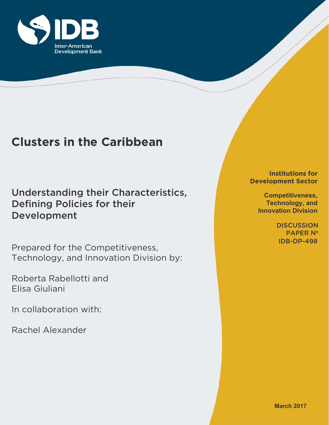

# **Clusters in the Caribbean**

Understanding their Characteristics, Defining Policies for their Development

Prepared for the Competitiveness, Technology, and Innovation Division by:

Roberta Rabellotti and Elisa Giuliani

In collaboration with:

Rachel Alexander

**Institutions for Development Sector**

> **Competitiveness, Technology, and Innovation Division**

> > IDB-DP-498 **DISCUSSION** PAPER Nº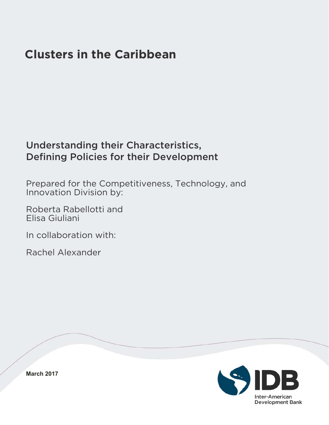# **Clusters in the Caribbean**

# Understanding their Characteristics, Defining Policies for their Development

Prepared for the Competitiveness, Technology, and Innovation Division by:

Roberta Rabellotti and Elisa Giuliani

In collaboration with:

Rachel Alexander

Inter-American **Development Bank** 

**March 2017**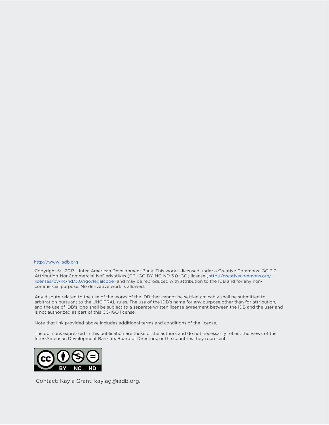#### http://www.iadb.org

Copyright © 2017 Inter-American Development Bank. This work is licensed under a Creative Commons IGO 3.0 Attribution-NonCommercial-NoDerivatives (CC-IGO BY-NC-ND 3.0 IGO) license (http://creativecommons.org/ licenses/by-nc-nd/3.0/igo/legalcode) and may be reproduced with attribution to the IDB and for any noncommercial purpose. No derivative work is allowed.

Any dispute related to the use of the works of the IDB that cannot be settled amicably shall be submitted to arbitration pursuant to the UNCITRAL rules. The use of the IDB's name for any purpose other than for attribution, and the use of IDB's logo shall be subject to a separate written license agreement between the IDB and the user and is not authorized as part of this CC-IGO license.

Note that link provided above includes additional terms and conditions of the license.

The opinions expressed in this publication are those of the authors and do not necessarily reflect the views of the Inter-American Development Bank, its Board of Directors, or the countries they represent.



Contact: Kayla Grant, kaylag@iadb.org.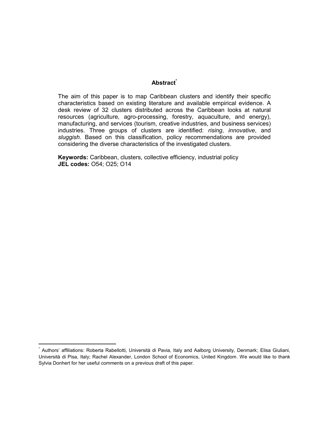### **Abstract\***

The aim of this paper is to map Caribbean clusters and identify their specific characteristics based on existing literature and available empirical evidence. A desk review of 32 clusters distributed across the Caribbean looks at natural resources (agriculture, agro-processing, forestry, aquaculture, and energy), manufacturing, and services (tourism, creative industries, and business services) industries. Three groups of clusters are identified: *rising*, *innovative*, and *sluggish*. Based on this classification, policy recommendations are provided considering the diverse characteristics of the investigated clusters.

**Keywords:** Caribbean, clusters, collective efficiency, industrial policy **JEL codes:** O54; O25; O14

 $\overline{a}$ 

<sup>\*</sup> Authors' affiliations: Roberta Rabellotti, Università di Pavia, Italy and Aalborg University, Denmark; Elisa Giuliani, Università di Pisa, Italy; Rachel Alexander, London School of Economics, United Kingdom. We would like to thank Sylvia Donhert for her useful comments on a previous draft of this paper.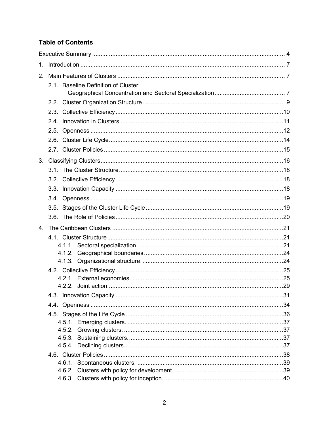## **Table of Contents**

| $1_{\cdot}$ |                                      |  |
|-------------|--------------------------------------|--|
| 2.          |                                      |  |
|             | 2.1. Baseline Definition of Cluster: |  |
|             |                                      |  |
|             |                                      |  |
|             |                                      |  |
|             |                                      |  |
|             |                                      |  |
|             |                                      |  |
|             |                                      |  |
|             |                                      |  |
|             |                                      |  |
|             |                                      |  |
|             |                                      |  |
|             |                                      |  |
|             |                                      |  |
|             |                                      |  |
|             |                                      |  |
|             |                                      |  |
|             |                                      |  |
|             |                                      |  |
|             |                                      |  |
|             |                                      |  |
|             |                                      |  |
|             |                                      |  |
|             |                                      |  |
|             |                                      |  |
|             |                                      |  |
|             |                                      |  |
|             |                                      |  |
|             |                                      |  |
|             |                                      |  |
|             |                                      |  |
|             |                                      |  |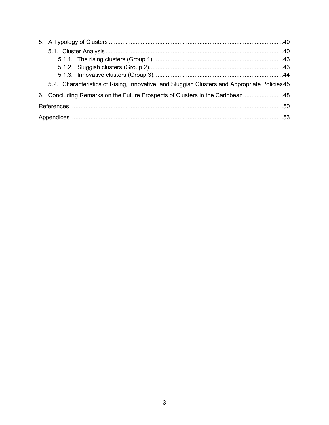| 5.2. Characteristics of Rising, Innovative, and Sluggish Clusters and Appropriate Policies 45 |  |
|-----------------------------------------------------------------------------------------------|--|
| 6. Concluding Remarks on the Future Prospects of Clusters in the Caribbean48                  |  |
|                                                                                               |  |
|                                                                                               |  |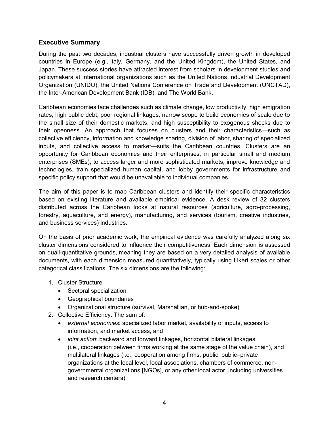### <span id="page-6-0"></span>**Executive Summary**

During the past two decades, industrial clusters have successfully driven growth in developed countries in Europe (e.g., Italy, Germany, and the United Kingdom), the United States, and Japan. These success stories have attracted interest from scholars in development studies and policymakers at international organizations such as the United Nations Industrial Development Organization (UNIDO), the United Nations Conference on Trade and Development (UNCTAD), the Inter-American Development Bank (IDB), and The World Bank.

Caribbean economies face challenges such as climate change, low productivity, high emigration rates, high public debt, poor regional linkages, narrow scope to build economies of scale due to the small size of their domestic markets, and high susceptibility to exogenous shocks due to their openness. An approach that focuses on clusters and their characteristics—such as collective efficiency, information and knowledge sharing, division of labor, sharing of specialized inputs, and collective access to market—suits the Caribbean countries. Clusters are an opportunity for Caribbean economies and their enterprises, in particular small and medium enterprises (SMEs), to access larger and more sophisticated markets, improve knowledge and technologies, train specialized human capital, and lobby governments for infrastructure and specific policy support that would be unavailable to individual companies.

The aim of this paper is to map Caribbean clusters and identify their specific characteristics based on existing literature and available empirical evidence. A desk review of 32 clusters distributed across the Caribbean looks at natural resources (agriculture, agro-processing, forestry, aquaculture, and energy), manufacturing, and services (tourism, creative industries, and business services) industries.

On the basis of prior academic work, the empirical evidence was carefully analyzed along six cluster dimensions considered to influence their competitiveness. Each dimension is assessed on quali-quantitative grounds, meaning they are based on a very detailed analysis of available documents, with each dimension measured quantitatively, typically using Likert scales or other categorical classifications. The six dimensions are the following:

- 1. Cluster Structure
	- Sectoral specialization
	- Geographical boundaries
	- Organizational structure (survival, Marshallian, or hub-and-spoke)
- 2. Collective Efficiency: The sum of:
	- *external economies*: specialized labor market, availability of inputs, access to information, and market access, and
	- *joint action*: backward and forward linkages, horizontal bilateral linkages (i.e., cooperation between firms working at the same stage of the value chain), and multilateral linkages (i.e., cooperation among firms, public, public–private organizations at the local level, local associations, chambers of commerce, nongovernmental organizations [NGOs], or any other local actor, including universities and research centers).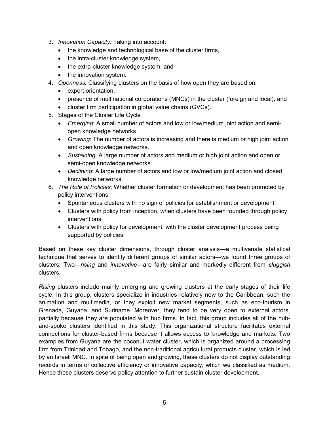- 3. *Innovation Capacity:* Taking into account:
	- the knowledge and technological base of the cluster firms,
	- the intra-cluster knowledge system,
	- the extra-cluster knowledge system, and
	- the innovation system.
- 4. *Openness:* Classifying clusters on the basis of how open they are based on:
	- export orientation,
	- presence of multinational corporations (MNCs) in the cluster (foreign and local), and
	- cluster firm participation in global value chains (GVCs).
- 5. Stages of the Cluster Life Cycle
	- *Emerging*: A small number of actors and low or low/medium joint action and semiopen knowledge networks.
	- *Growing*: The number of actors is increasing and there is medium or high joint action and open knowledge networks.
	- *Sustaining*: A large number of actors and medium or high joint action and open or semi-open knowledge networks.
	- *Declining*: A large number of actors and low or low/medium joint action and closed knowledge networks.
- 6. *The Role of Policies:* Whether cluster formation or development has been promoted by policy interventions:
	- Spontaneous clusters with no sign of policies for establishment or development.
	- Clusters with policy from inception, when clusters have been founded through policy interventions.
	- Clusters with policy for development, with the cluster development process being supported by policies.

Based on these key cluster dimensions, through cluster analysis—a multivariate statistical technique that serves to identify different groups of similar actors—we found three groups of clusters. Two—*rising* and *innovative—*are fairly similar and markedly different from *sluggish*  clusters.

*Rising* clusters include mainly emerging and growing clusters at the early stages of their life cycle. In this group, clusters specialize in industries relatively new to the Caribbean, such the animation and multimedia, or they exploit new market segments, such as eco-tourism in Grenada, Guyana, and Suriname. Moreover, they tend to be very open to external actors, partially because they are populated with hub firms. In fact, this group includes all of the huband-spoke clusters identified in this study. This organizational structure facilitates external connections for cluster-based firms because it allows access to knowledge and markets. Two examples from Guyana are the coconut water cluster, which is organized around a processing firm from Trinidad and Tobago, and the non-traditional agricultural products cluster, which is led by an Israeli MNC. In spite of being open and growing, these clusters do not display outstanding records in terms of collective efficiency or innovative capacity, which we classified as medium. Hence these clusters deserve policy attention to further sustain cluster development.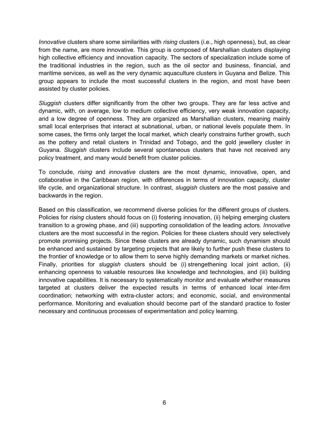*Innovative* clusters share some similarities with *rising* clusters (i.e., high openness), but, as clear from the name, are more innovative. This group is composed of Marshallian clusters displaying high collective efficiency and innovation capacity. The sectors of specialization include some of the traditional industries in the region, such as the oil sector and business, financial, and maritime services, as well as the very dynamic aquaculture clusters in Guyana and Belize. This group appears to include the most successful clusters in the region, and most have been assisted by cluster policies.

*Sluggish* clusters differ significantly from the other two groups. They are far less active and dynamic, with, on average, low to medium collective efficiency, very weak innovation capacity, and a low degree of openness. They are organized as Marshallian clusters, meaning mainly small local enterprises that interact at subnational, urban, or national levels populate them. In some cases, the firms only target the local market, which clearly constrains further growth, such as the pottery and retail clusters in Trinidad and Tobago, and the gold jewellery cluster in Guyana. *Sluggish* clusters include several spontaneous clusters that have not received any policy treatment, and many would benefit from cluster policies.

To conclude, *rising* and *innovative* clusters are the most dynamic, innovative, open, and collaborative in the Caribbean region, with differences in terms of innovation capacity, cluster life cycle, and organizational structure. In contrast, *sluggish* clusters are the most passive and backwards in the region.

Based on this classification, we recommend diverse policies for the different groups of clusters. Policies for *rising* clusters should focus on (i) fostering innovation, (ii) helping emerging clusters transition to a growing phase, and (iii) supporting consolidation of the leading actors. *Innovative*  clusters are the most successful in the region. Policies for these clusters should very selectively promote promising projects. Since these clusters are already dynamic, such dynamism should be enhanced and sustained by targeting projects that are likely to further push these clusters to the frontier of knowledge or to allow them to serve highly demanding markets or market niches. Finally, priorities for *sluggish* clusters should be (i) strengethening local joint action, (ii) enhancing openness to valuable resources like knowledge and technologies, and (iii) building innovative capabilities. It is necessary to systematically monitor and evaluate whether measures targeted at clusters deliver the expected results in terms of enhanced local inter-firm coordination; networking with extra-cluster actors; and economic, social, and environmental performance. Monitoring and evaluation should become part of the standard practice to foster necessary and continuous processes of experimentation and policy learning.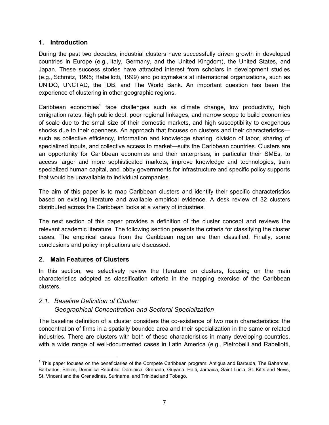### <span id="page-9-0"></span>**1. Introduction**

During the past two decades, industrial clusters have successfully driven growth in developed countries in Europe (e.g., Italy, Germany, and the United Kingdom), the United States, and Japan. These success stories have attracted interest from scholars in development studies (e.g., Schmitz, 1995; Rabellotti, 1999) and policymakers at international organizations, such as UNIDO, UNCTAD, the IDB, and The World Bank. An important question has been the experience of clustering in other geographic regions.

Caribbean economies<sup>1</sup> face challenges such as climate change, low productivity, high emigration rates, high public debt, poor regional linkages, and narrow scope to build economies of scale due to the small size of their domestic markets, and high susceptibility to exogenous shocks due to their openness. An approach that focuses on clusters and their characteristics such as collective efficiency, information and knowledge sharing, division of labor, sharing of specialized inputs, and collective access to market—suits the Caribbean countries. Clusters are an opportunity for Caribbean economies and their enterprises, in particular their SMEs, to access larger and more sophisticated markets, improve knowledge and technologies, train specialized human capital, and lobby governments for infrastructure and specific policy supports that would be unavailable to individual companies.

The aim of this paper is to map Caribbean clusters and identify their specific characteristics based on existing literature and available empirical evidence. A desk review of 32 clusters distributed across the Caribbean looks at a variety of industries.

The next section of this paper provides a definition of the cluster concept and reviews the relevant academic literature. The following section presents the criteria for classifying the cluster cases. The empirical cases from the Caribbean region are then classified. Finally, some conclusions and policy implications are discussed.

### <span id="page-9-1"></span>**2. Main Features of Clusters**

 $\overline{a}$ 

In this section, we selectively review the literature on clusters, focusing on the main characteristics adopted as classification criteria in the mapping exercise of the Caribbean clusters.

### <span id="page-9-2"></span>*2.1. Baseline Definition of Cluster: Geographical Concentration and Sectoral Specialization*

The baseline definition of a cluster considers the co-existence of two main characteristics: the concentration of firms in a spatially bounded area and their specialization in the same or related industries. There are clusters with both of these characteristics in many developing countries, with a wide range of well-documented cases in Latin America (e.g., Pietrobelli and Rabellotti,

<sup>&</sup>lt;sup>1</sup> This paper focuses on the beneficiaries of the Compete Caribbean program: Antigua and Barbuda, The Bahamas, Barbados, Belize, Dominica Republic, Dominica, Grenada, Guyana, Haiti, Jamaica, Saint Lucia, St. Kitts and Nevis, St. Vincent and the Grenadines, Suriname, and Trinidad and Tobago.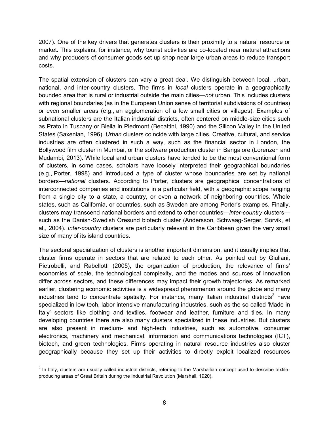2007). One of the key drivers that generates clusters is their proximity to a natural resource or market. This explains, for instance, why tourist activities are co-located near natural attractions and why producers of consumer goods set up shop near large urban areas to reduce transport costs.

The spatial extension of clusters can vary a great deal. We distinguish between local, urban, national, and inter-country clusters. The firms in *local* clusters operate in a geographically bounded area that is rural or industrial outside the main cities—*not* urban. This includes clusters with regional boundaries (as in the European Union sense of territorial subdivisions of countries) or even smaller areas (e.g., an agglomeration of a few small cities or villages). Examples of subnational clusters are the Italian industrial districts, often centered on middle-size cities such as Prato in Tuscany or Biella in Piedmont (Becattini, 1990) and the Silicon Valley in the United States (Saxenian, 1996). *Urban* clusters coincide with large cities*.* Creative, cultural, and service industries are often clustered in such a way, such as the financial sector in London, the Bollywood film cluster in Mumbai, or the software production cluster in Bangalore (Lorenzen and Mudambi, 2013). While local and urban clusters have tended to be the most conventional form of clusters, in some cases, scholars have loosely interpreted their geographical boundaries (e.g., Porter, 1998) and introduced a type of cluster whose boundaries are set by national borders—*national* clusters. According to Porter, clusters are geographical concentrations of interconnected companies and institutions in a particular field, with a geographic scope ranging from a single city to a state, a country, or even a network of neighboring countries. Whole states, such as California, or countries, such as Sweden are among Porter's examples. Finally, clusters may transcend national borders and extend to other countries—*inter-country* clusters such as the Danish-Swedish Öresund biotech cluster (Andersson, Schwaag-Serger, Sörvik, et al., 2004). *Inter-country* clusters are particularly relevant in the Caribbean given the very small size of many of its island countries.

The sectoral specialization of clusters is another important dimension, and it usually implies that cluster firms operate in sectors that are related to each other. As pointed out by Giuliani, Pietrobelli, and Rabellotti (2005), the organization of production, the relevance of firms' economies of scale, the technological complexity, and the modes and sources of innovation differ across sectors, and these differences may impact their growth trajectories. As remarked earlier, clustering economic activities is a widespread phenomenon around the globe and many industries tend to concentrate spatially. For instance, many Italian industrial districts<sup>2</sup> have specialized in low tech, labor intensive manufacturing industries, such as the so called 'Made in Italy' sectors like clothing and textiles, footwear and leather, furniture and tiles. In many developing countries there are also many clusters specialized in these industries. But clusters are also present in medium- and high-tech industries, such as automotive, consumer electronics, machinery and mechanical, information and communications technologies (ICT), biotech, and green technologies. Firms operating in natural resource industries also cluster geographically because they set up their activities to directly exploit localized resources

 $2$  In Italy, clusters are usually called industrial districts, referring to the Marshallian concept used to describe textileproducing areas of Great Britain during the Industrial Revolution (Marshall, 1920).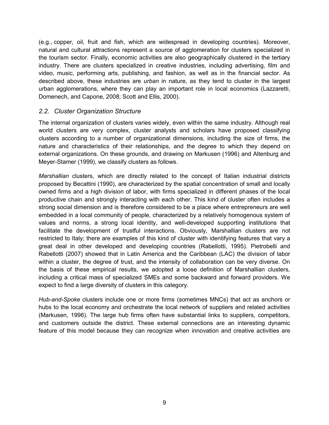(e.g., copper, oil, fruit and fish, which are widespread in developing countries). Moreover, natural and cultural attractions represent a source of agglomeration for clusters specialized in the tourism sector. Finally, economic activities are also geographically clustered in the tertiary industry. There are clusters specialized in creative industries, including advertising, film and video, music, performing arts, publishing, and fashion, as well as in the financial sector. As described above, these industries are *urban* in nature, as they tend to cluster in the largest urban agglomerations, where they can play an important role in local economics (Lazzaretti, Domenech, and Capone, 2008; Scott and Ellis, 2000).

### <span id="page-11-0"></span>*2.2. Cluster Organization Structure*

The internal organization of clusters varies widely, even within the same industry. Although real world clusters are very complex, cluster analysts and scholars have proposed classifying clusters according to a number of organizational dimensions, including the size of firms, the nature and characteristics of their relationships, and the degree to which they depend on external organizations. On these grounds, and drawing on Markusen (1996) and Altenburg and Meyer-Stamer (1999), we classify clusters as follows.

*Marshallian* clusters, which are directly related to the concept of Italian industrial districts proposed by Becattini (1990), are characterized by the spatial concentration of small and locally owned firms and a high division of labor, with firms specialized in different phases of the local productive chain and strongly interacting with each other. This kind of cluster often includes a strong social dimension and is therefore considered to be a place where entrepreneurs are well embedded in a local community of people, characterized by a relatively homogenous system of values and norms, a strong local identity, and well-developed supporting institutions that facilitate the development of trustful interactions. Obviously, Marshallian clusters are not restricted to Italy; there are examples of this kind of cluster with identifying features that vary a great deal in other developed and developing countries (Rabellotti, 1995). Pietrobelli and Rabellotti (2007) showed that in Latin America and the Caribbean (LAC) the division of labor within a cluster, the degree of trust, and the intensity of collaboration can be very diverse. On the basis of these empirical results, we adopted a loose definition of Marshallian clusters, including a critical mass of specialized SMEs and some backward and forward providers. We expect to find a large diversity of clusters in this category.

*Hub-and-Spoke* clusters include one or more firms (sometimes MNCs) that act as anchors or hubs to the local economy and orchestrate the local network of suppliers and related activities (Markusen, 1996). The large hub firms often have substantial links to suppliers, competitors, and customers outside the district. These external connections are an interesting dynamic feature of this model because they can recognize when innovation and creative activities are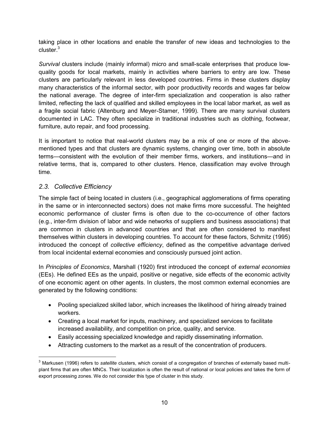taking place in other locations and enable the transfer of new ideas and technologies to the cluster.<sup>3</sup>

*Survival* clusters include (mainly informal) micro and small-scale enterprises that produce lowquality goods for local markets, mainly in activities where barriers to entry are low. These clusters are particularly relevant in less developed countries. Firms in these clusters display many characteristics of the informal sector, with poor productivity records and wages far below the national average. The degree of inter-firm specialization and cooperation is also rather limited, reflecting the lack of qualified and skilled employees in the local labor market, as well as a fragile social fabric (Altenburg and Meyer-Stamer, 1999). There are many survival clusters documented in LAC. They often specialize in traditional industries such as clothing, footwear, furniture, auto repair, and food processing.

It is important to notice that real-world clusters may be a mix of one or more of the abovementioned types and that clusters are dynamic systems, changing over time, both in absolute terms—consistent with the evolution of their member firms, workers, and institutions—and in relative terms, that is, compared to other clusters. Hence, classification may evolve through time.

### <span id="page-12-0"></span>*2.3. Collective Efficiency*

 $\overline{a}$ 

The simple fact of being located in clusters (i.e., geographical agglomerations of firms operating in the same or in interconnected sectors) does not make firms more successful. The heighted economic performance of cluster firms is often due to the co-occurrence of other factors (e.g., inter-firm division of labor and wide networks of suppliers and business associations) that are common in clusters in advanced countries and that are often considered to manifest themselves within clusters in developing countries. To account for these factors, Schmitz (1995) introduced the concept of *collective efficiency*, defined as the competitive advantage derived from local incidental external economies and consciously pursued joint action.

In *Principles of Economics*, Marshall (1920) first introduced the concept of *external economies*  (EEs). He defined EEs as the unpaid, positive or negative, side effects of the economic activity of one economic agent on other agents. In clusters, the most common external economies are generated by the following conditions:

- Pooling specialized skilled labor, which increases the likelihood of hiring already trained workers.
- Creating a local market for inputs, machinery, and specialized services to facilitate increased availability, and competition on price, quality, and service.
- Easily accessing specialized knowledge and rapidly disseminating information.
- Attracting customers to the market as a result of the concentration of producers.

<sup>3</sup> Markusen (1996) refers to *satellite* clusters, which consist of a congregation of branches of externally based multiplant firms that are often MNCs. Their localization is often the result of national or local policies and takes the form of export processing zones. We do not consider this type of cluster in this study.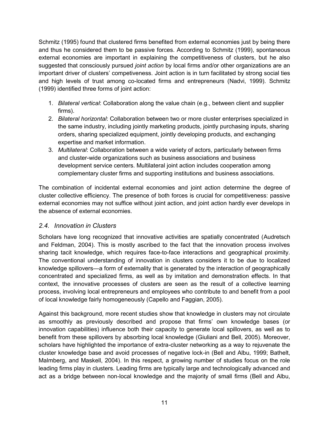Schmitz (1995) found that clustered firms benefited from external economies just by being there and thus he considered them to be passive forces. According to Schmitz (1999), spontaneous external economies are important in explaining the competitiveness of clusters, but he also suggested that consciously pursued *joint action* by local firms and/or other organizations are an important driver of clusters' competiveness. Joint action is in turn facilitated by strong social ties and high levels of trust among co-located firms and entrepreneurs (Nadvi, 1999). Schmitz (1999) identified three forms of joint action:

- 1. *Bilateral vertical*: Collaboration along the value chain (e.g., between client and supplier firms).
- 2. *Bilateral horizontal*: Collaboration between two or more cluster enterprises specialized in the same industry, including jointly marketing products, jointly purchasing inputs, sharing orders, sharing specialized equipment, jointly developing products, and exchanging expertise and market information.
- 3. *Multilateral*: Collaboration between a wide variety of actors, particularly between firms and cluster-wide organizations such as business associations and business development service centers. Multilateral joint action includes cooperation among complementary cluster firms and supporting institutions and business associations.

The combination of incidental external economies and joint action determine the degree of cluster collective efficiency. The presence of both forces is crucial for competitiveness: passive external economies may not suffice without joint action, and joint action hardly ever develops in the absence of external economies.

### <span id="page-13-0"></span>*2.4. Innovation in Clusters*

Scholars have long recognized that innovative activities are spatially concentrated (Audretsch and Feldman, 2004). This is mostly ascribed to the fact that the innovation process involves sharing tacit knowledge, which requires face-to-face interactions and geographical proximity. The conventional understanding of innovation in clusters considers it to be due to localized knowledge spillovers—a form of externality that is generated by the interaction of geographically concentrated and specialized firms, as well as by imitation and demonstration effects. In that context, the innovative processes of clusters are seen as the result of a collective learning process, involving local entrepreneurs and employees who contribute to and benefit from a pool of local knowledge fairly homogeneously (Capello and Faggian, 2005).

Against this background, more recent studies show that knowledge in clusters may not circulate as smoothly as previously described and propose that firms' own knowledge bases (or innovation capabilities) influence both their capacity to generate local spillovers, as well as to benefit from these spillovers by absorbing local knowledge (Giuliani and Bell, 2005). Moreover, scholars have highlighted the importance of extra-cluster networking as a way to rejuvenate the cluster knowledge base and avoid processes of negative lock-in (Bell and Albu, 1999; Bathelt, Malmberg, and Maskell, 2004). In this respect, a growing number of studies focus on the role leading firms play in clusters. Leading firms are typically large and technologically advanced and act as a bridge between non-local knowledge and the majority of small firms (Bell and Albu,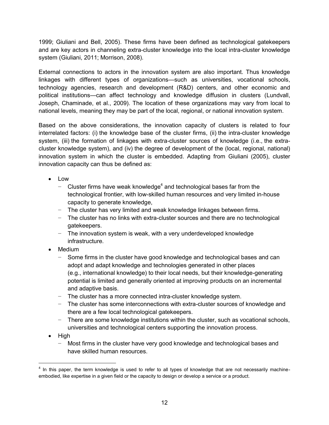1999; Giuliani and Bell, 2005). These firms have been defined as technological gatekeepers and are key actors in channeling extra-cluster knowledge into the local intra-cluster knowledge system (Giuliani, 2011; Morrison, 2008).

External connections to actors in the innovation system are also important. Thus knowledge linkages with different types of organizations—such as universities, vocational schools, technology agencies, research and development (R&D) centers, and other economic and political institutions—can affect technology and knowledge diffusion in clusters (Lundvall, Joseph, Chaminade, et al., 2009). The location of these organizations may vary from local to national levels, meaning they may be part of the local, regional, or national innovation system.

Based on the above considerations, the innovation capacity of clusters is related to four interrelated factors: (i) the knowledge base of the cluster firms, (ii) the intra-cluster knowledge system, (iii) the formation of linkages with extra-cluster sources of knowledge (i.e., the extracluster knowledge system), and (iv) the degree of development of the (local, regional, national) innovation system in which the cluster is embedded. Adapting from Giuliani (2005), cluster innovation capacity can thus be defined as:

- Low
	- − Cluster firms have weak knowledge<sup>4</sup> and technological bases far from the technological frontier, with low-skilled human resources and very limited in-house capacity to generate knowledge,
	- − The cluster has very limited and weak knowledge linkages between firms.
	- − The cluster has no links with extra-cluster sources and there are no technological gatekeepers.
	- − The innovation system is weak, with a very underdeveloped knowledge infrastructure.
- Medium
	- − Some firms in the cluster have good knowledge and technological bases and can adopt and adapt knowledge and technologies generated in other places (e.g., international knowledge) to their local needs, but their knowledge-generating potential is limited and generally oriented at improving products on an incremental and adaptive basis.
	- − The cluster has a more connected intra-cluster knowledge system.
	- − The cluster has some interconnections with extra-cluster sources of knowledge and there are a few local technological gatekeepers.
	- − There are some knowledge institutions within the cluster, such as vocational schools, universities and technological centers supporting the innovation process.
- High

− Most firms in the cluster have very good knowledge and technological bases and have skilled human resources.

<sup>&</sup>lt;sup>4</sup> In this paper, the term knowledge is used to refer to all types of knowledge that are not necessarily machineembodied, like expertise in a given field or the capacity to design or develop a service or a product.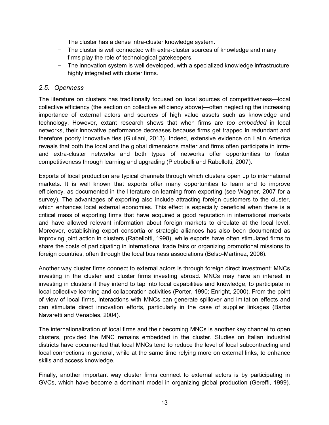- − The cluster has a dense intra-cluster knowledge system.
- − The cluster is well connected with extra-cluster sources of knowledge and many firms play the role of technological gatekeepers.
- − The innovation system is well developed, with a specialized knowledge infrastructure highly integrated with cluster firms.

### <span id="page-15-0"></span>*2.5. Openness*

The literature on clusters has traditionally focused on local sources of competitiveness—local collective efficiency (the section on collective efficiency above)—often neglecting the increasing importance of external actors and sources of high value assets such as knowledge and technology. However, extant research shows that when firms are *too embedded* in local networks, their innovative performance decreases because firms get trapped in redundant and therefore poorly innovative ties (Giuliani, 2013). Indeed, extensive evidence on Latin America reveals that both the local and the global dimensions matter and firms often participate in intraand extra-cluster networks and both types of networks offer opportunities to foster competitiveness through learning and upgrading (Pietrobelli and Rabellotti, 2007).

Exports of local production are typical channels through which clusters open up to international markets. It is well known that exports offer many opportunities to learn and to improve efficiency, as documented in the literature on learning from exporting (see Wagner, 2007 for a survey). The advantages of exporting also include attracting foreign customers to the cluster, which enhances local external economies. This effect is especially beneficial when there is a critical mass of exporting firms that have acquired a good reputation in international markets and have allowed relevant information about foreign markets to circulate at the local level. Moreover, establishing export consortia or strategic alliances has also been documented as improving joint action in clusters (Rabellotti, 1998), while exports have often stimulated firms to share the costs of participating in international trade fairs or organizing promotional missions to foreign countries, often through the local business associations (Belso-Martínez, 2006).

Another way cluster firms connect to external actors is through foreign direct investment: MNCs investing in the cluster and cluster firms investing abroad. MNCs may have an interest in investing in clusters if they intend to tap into local capabilities and knowledge, to participate in local collective learning and collaboration activities (Porter, 1990; Enright, 2000). From the point of view of local firms, interactions with MNCs can generate spillover and imitation effects and can stimulate direct innovation efforts, particularly in the case of supplier linkages (Barba Navaretti and Venables, 2004).

The internationalization of local firms and their becoming MNCs is another key channel to open clusters, provided the MNC remains embedded in the cluster. Studies on Italian industrial districts have documented that local MNCs tend to reduce the level of local subcontracting and local connections in general, while at the same time relying more on external links, to enhance skills and access knowledge.

Finally, another important way cluster firms connect to external actors is by participating in GVCs, which have become a dominant model in organizing global production (Gereffi, 1999).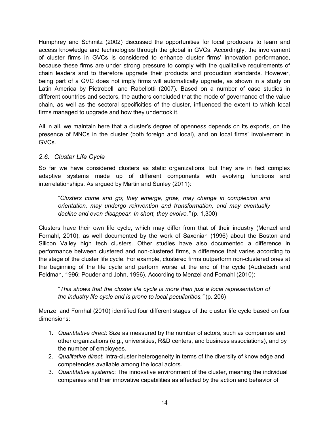Humphrey and Schmitz (2002) discussed the opportunities for local producers to learn and access knowledge and technologies through the global in GVCs. Accordingly, the involvement of cluster firms in GVCs is considered to enhance cluster firms' innovation performance, because these firms are under strong pressure to comply with the qualitative requirements of chain leaders and to therefore upgrade their products and production standards. However, being part of a GVC does not imply firms will automatically upgrade, as shown in a study on Latin America by Pietrobelli and Rabellotti (2007). Based on a number of case studies in different countries and sectors, the authors concluded that the mode of governance of the value chain, as well as the sectoral specificities of the cluster, influenced the extent to which local firms managed to upgrade and how they undertook it.

All in all, we maintain here that a cluster's degree of openness depends on its exports, on the presence of MNCs in the cluster (both foreign and local), and on local firms' involvement in GVCs.

### <span id="page-16-0"></span>*2.6. Cluster Life Cycle*

So far we have considered clusters as static organizations, but they are in fact complex adaptive systems made up of different components with evolving functions and interrelationships. As argued by Martin and Sunley (2011):

"*Clusters come and go; they emerge, grow, may change in complexion and orientation, may undergo reinvention and transformation, and may eventually decline and even disappear. In short, they evolve."* (p. 1,300)

Clusters have their own life cycle, which may differ from that of their industry (Menzel and Fornahl, 2010), as well documented by the work of Saxenian (1996) about the Boston and Silicon Valley high tech clusters. Other studies have also documented a difference in performance between clustered and non-clustered firms, a difference that varies according to the stage of the cluster life cycle. For example, clustered firms outperform non-clustered ones at the beginning of the life cycle and perform worse at the end of the cycle (Audretsch and Feldman, 1996; Pouder and John, 1996). According to Menzel and Fornahl (2010):

"*This shows that the cluster life cycle is more than just a local representation of the industry life cycle and is prone to local peculiarities."* (p. 206)

Menzel and Fornhal (2010) identified four different stages of the cluster life cycle based on four dimensions:

- 1. *Quantitative direct*: Size as measured by the number of actors, such as companies and other organizations (e.g., universities, R&D centers, and business associations), and by the number of employees.
- 2. *Qualitative direct*: Intra-cluster heterogeneity in terms of the diversity of knowledge and competencies available among the local actors.
- 3. *Quantitative systemic*: The innovative environment of the cluster, meaning the individual companies and their innovative capabilities as affected by the action and behavior of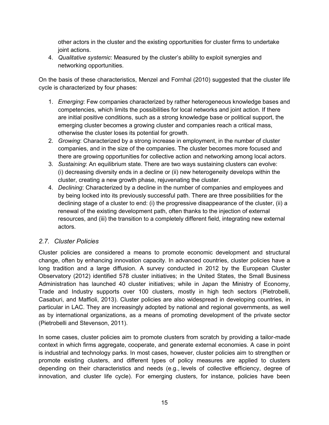other actors in the cluster and the existing opportunities for cluster firms to undertake joint actions.

4. *Qualitative systemic*: Measured by the cluster's ability to exploit synergies and networking opportunities.

On the basis of these characteristics, Menzel and Fornhal (2010) suggested that the cluster life cycle is characterized by four phases:

- 1. *Emerging*: Few companies characterized by rather heterogeneous knowledge bases and competencies, which limits the possibilities for local networks and joint action. If there are initial positive conditions, such as a strong knowledge base or political support, the emerging cluster becomes a growing cluster and companies reach a critical mass, otherwise the cluster loses its potential for growth.
- 2. *Growing*: Characterized by a strong increase in employment, in the number of cluster companies, and in the size of the companies. The cluster becomes more focused and there are growing opportunities for collective action and networking among local actors.
- 3. *Sustaining*: An equilibrium state. There are two ways sustaining clusters can evolve: (i) decreasing diversity ends in a decline or (ii) new heterogeneity develops within the cluster, creating a new growth phase, rejuvenating the cluster.
- 4. *Declining*: Characterized by a decline in the number of companies and employees and by being locked into its previously successful path. There are three possibilities for the declining stage of a cluster to end: (i) the progressive disappearance of the cluster, (ii) a renewal of the existing development path, often thanks to the injection of external resources, and (iii) the transition to a completely different field, integrating new external actors.

### <span id="page-17-0"></span>*2.7. Cluster Policies*

Cluster policies are considered a means to promote economic development and structural change, often by enhancing innovation capacity. In advanced countries, cluster policies have a long tradition and a large diffusion. A survey conducted in 2012 by the European Cluster Observatory (2012) identified 578 cluster initiatives; in the United States, the Small Business Administration has launched 40 cluster initiatives; while in Japan the Ministry of Economy, Trade and Industry supports over 100 clusters, mostly in high tech sectors (Pietrobelli, Casaburi, and Maffioli, 2013). Cluster policies are also widespread in developing countries, in particular in LAC. They are increasingly adopted by national and regional governments, as well as by international organizations, as a means of promoting development of the private sector (Pietrobelli and Stevenson, 2011).

In some cases, cluster policies aim to promote clusters from scratch by providing a tailor-made context in which firms aggregate, cooperate, and generate external economies. A case in point is industrial and technology parks. In most cases, however, cluster policies aim to strengthen or promote existing clusters, and different types of policy measures are applied to clusters depending on their characteristics and needs (e.g., levels of collective efficiency, degree of innovation, and cluster life cycle). For emerging clusters, for instance, policies have been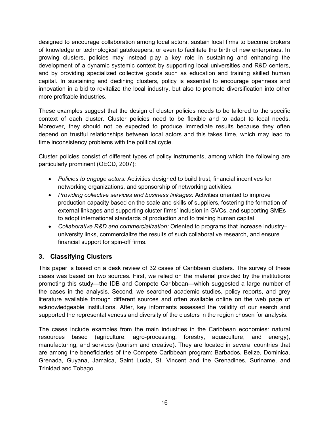designed to encourage collaboration among local actors, sustain local firms to become brokers of knowledge or technological gatekeepers, or even to facilitate the birth of new enterprises. In growing clusters, policies may instead play a key role in sustaining and enhancing the development of a dynamic systemic context by supporting local universities and R&D centers, and by providing specialized collective goods such as education and training skilled human capital. In sustaining and declining clusters, policy is essential to encourage openness and innovation in a bid to revitalize the local industry, but also to promote diversification into other more profitable industries.

These examples suggest that the design of cluster policies needs to be tailored to the specific context of each cluster. Cluster policies need to be flexible and to adapt to local needs. Moreover, they should not be expected to produce immediate results because they often depend on trustful relationships between local actors and this takes time, which may lead to time inconsistency problems with the political cycle.

Cluster policies consist of different types of policy instruments, among which the following are particularly prominent (OECD, 2007):

- *Policies to engage actors:* Activities designed to build trust, financial incentives for networking organizations, and sponsorship of networking activities.
- *Providing collective services and business linkages:* Activities oriented to improve production capacity based on the scale and skills of suppliers, fostering the formation of external linkages and supporting cluster firms' inclusion in GVCs, and supporting SMEs to adopt international standards of production and to training human capital.
- *Collaborative R&D and commercialization:* Oriented to programs that increase industry– university links, commercialize the results of such collaborative research, and ensure financial support for spin-off firms.

### <span id="page-18-0"></span>**3. Classifying Clusters**

This paper is based on a desk review of 32 cases of Caribbean clusters. The survey of these cases was based on two sources. First, we relied on the material provided by the institutions promoting this study—the IDB and Compete Caribbean—which suggested a large number of the cases in the analysis. Second, we searched academic studies, policy reports, and grey literature available through different sources and often available online on the web page of acknowledgeable institutions. After, key informants assessed the validity of our search and supported the representativeness and diversity of the clusters in the region chosen for analysis.

The cases include examples from the main industries in the Caribbean economies: natural resources based (agriculture, agro-processing, forestry, aquaculture, and energy), manufacturing, and services (tourism and creative). They are located in several countries that are among the beneficiaries of the Compete Caribbean program: Barbados, Belize, Dominica, Grenada, Guyana, Jamaica, Saint Lucia, St. Vincent and the Grenadines, Suriname, and Trinidad and Tobago.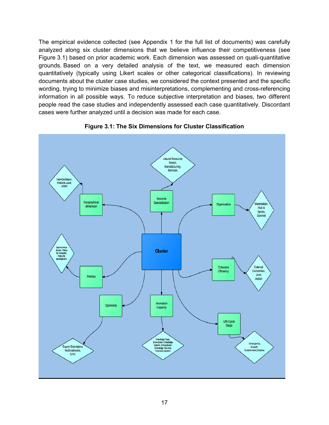The empirical evidence collected (see Appendix 1 for the full list of documents) was carefully analyzed along six cluster dimensions that we believe influence their competitiveness (see Figure 3.1) based on prior academic work. Each dimension was assessed on quali-quantitative grounds. Based on a very detailed analysis of the text, we measured each dimension quantitatively (typically using Likert scales or other categorical classifications). In reviewing documents about the cluster case studies, we considered the context presented and the specific wording, trying to minimize biases and misinterpretations, complementing and cross-referencing information in all possible ways. To reduce subjective interpretation and biases, two different people read the case studies and independently assessed each case quantitatively. Discordant cases were further analyzed until a decision was made for each case.



**Figure 3.1: The Six Dimensions for Cluster Classification**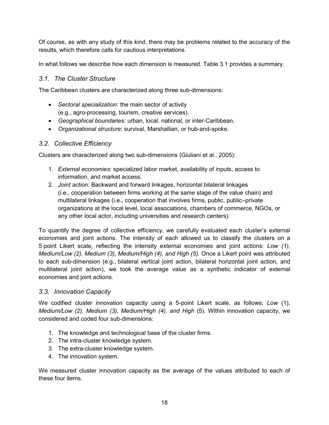Of course, as with any study of this kind, there may be problems related to the accuracy of the results, which therefore calls for cautious interpretations.

In what follows we describe how each dimension is measured. Table 3.1 provides a summary.

### <span id="page-20-0"></span>*3.1. The Cluster Structure*

The Caribbean clusters are characterized along three sub-dimensions:

- *Sectoral specialization*: the main sector of activity (e.g., agro-processing, tourism, creative services).
- *Geographical boundaries*: urban, local, national, or inter-Caribbean.
- *Organizational structure*: survival, Marshallian, or hub-and-spoke.

### <span id="page-20-1"></span>*3.2. Collective Efficiency*

Clusters are characterized along two sub-dimensions (Giuliani et al., 2005):

- 1. *External economies*: specialized labor market, availability of inputs, access to information, and market access.
- 2. *Joint action*: Backward and forward linkages, horizontal bilateral linkages (i.e., cooperation between firms working at the same stage of the value chain) and multilateral linkages (i.e., cooperation that involves firms, public, public–private organizations at the local level, local associations, chambers of commerce, NGOs, or any other local actor, including universities and research centers).

To quantify the degree of collective efficiency, we carefully evaluated each cluster's external economies and joint actions. The intensity of each allowed us to classify the clusters on a 5 point Likert scale, reflecting the intensity external economies and joint actions: *Low (1), Medium/Low (2), Medium (3), Medium/High (4), and High (5). Once a Likert point was attributed* to each sub-dimension (e.g., bilateral vertical joint action, bilateral horizontal joint action, and multilateral joint action), we took the average value as a synthetic indicator of external economies and joint actions.

### <span id="page-20-2"></span>*3.3. Innovation Capacity*

We codified cluster innovation capacity using a 5-point Likert scale, as follows: *Low* (1)*, Medium/Low (2), Medium (3), Medium/High (4), and High (5). Within innovation capacity, we* considered and coded four sub-dimensions:

- 1. The knowledge and technological base of the cluster firms.
- 2. The intra-cluster knowledge system.
- 3. The extra-cluster knowledge system.
- 4. The innovation system.

We measured cluster innovation capacity as the average of the values attributed to each of these four items.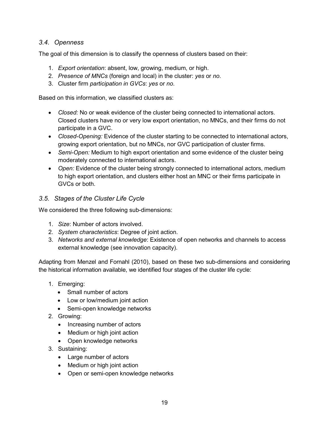### <span id="page-21-0"></span>*3.4. Openness*

The goal of this dimension is to classify the openness of clusters based on their:

- 1. *Export orientation*: absent, low, growing, medium, or high.
- 2. *Presence of MNCs* (foreign and local) in the cluster: *yes* or *no*.
- 3. Cluster firm *participation in GVCs*: *yes* or *no*.

Based on this information, we classified clusters as:

- *Closed:* No or weak evidence of the cluster being connected to international actors. Closed clusters have no or very low export orientation, no MNCs, and their firms do not participate in a GVC.
- *Closed-Opening:* Evidence of the cluster starting to be connected to international actors, growing export orientation, but no MNCs, nor GVC participation of cluster firms.
- *Semi-Open:* Medium to high export orientation and some evidence of the cluster being moderately connected to international actors.
- *Open:* Evidence of the cluster being strongly connected to international actors, medium to high export orientation, and clusters either host an MNC or their firms participate in GVCs or both.

### <span id="page-21-1"></span>*3.5. Stages of the Cluster Life Cycle*

We considered the three following sub-dimensions:

- 1. *Size*: Number of actors involved.
- 2. *System characteristics*: Degree of joint action.
- 3. *Networks and external knowledge*: Existence of open networks and channels to access external knowledge (see innovation capacity).

Adapting from Menzel and Fornahl (2010), based on these two sub-dimensions and considering the historical information available, we identified four stages of the cluster life cycle:

- 1. Emerging:
	- Small number of actors
	- Low or low/medium joint action
	- Semi-open knowledge networks
- 2. Growing:
	- Increasing number of actors
	- Medium or high joint action
	- Open knowledge networks
- 3. Sustaining:
	- Large number of actors
	- Medium or high joint action
	- Open or semi-open knowledge networks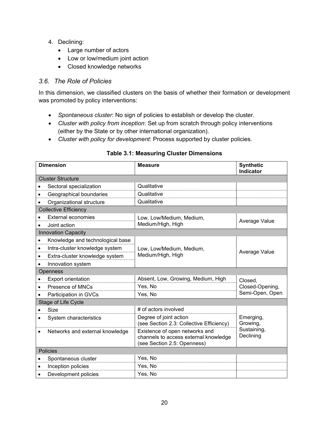- 4. Declining:
	- Large number of actors
	- Low or low/medium joint action
	- Closed knowledge networks

### <span id="page-22-0"></span>*3.6. The Role of Policies*

In this dimension, we classified clusters on the basis of whether their formation or development was promoted by policy interventions:

- *Spontaneous cluster*: No sign of policies to establish or develop the cluster.
- *Cluster with policy from inception*: Set up from scratch through policy interventions (either by the State or by other international organization).
- *Cluster with policy for development*: Process supported by cluster policies.

|           | <b>Dimension</b>                 | <b>Measure</b>                                                                                         | <b>Synthetic</b><br><b>Indicator</b> |
|-----------|----------------------------------|--------------------------------------------------------------------------------------------------------|--------------------------------------|
|           | <b>Cluster Structure</b>         |                                                                                                        |                                      |
|           | Sectoral specialization          | Qualitative                                                                                            |                                      |
| $\bullet$ | Geographical boundaries          | Qualitative                                                                                            |                                      |
|           | Organizational structure         | Qualitative                                                                                            |                                      |
|           | <b>Collective Efficiency</b>     |                                                                                                        |                                      |
|           | <b>External economies</b>        | Low, Low/Medium, Medium,                                                                               | Average Value                        |
| $\bullet$ | Joint action                     | Medium/High, High                                                                                      |                                      |
|           | <b>Innovation Capacity</b>       |                                                                                                        |                                      |
| $\bullet$ | Knowledge and technological base |                                                                                                        |                                      |
| $\bullet$ | Intra-cluster knowledge system   | Low, Low/Medium, Medium,                                                                               | Average Value                        |
| $\bullet$ | Extra-cluster knowledge system   | Medium/High, High                                                                                      |                                      |
|           | Innovation system                |                                                                                                        |                                      |
|           | Openness                         |                                                                                                        |                                      |
|           | <b>Export orientation</b>        | Absent, Low, Growing, Medium, High                                                                     | Closed,                              |
| $\bullet$ | Presence of MNCs                 | Yes, No                                                                                                | Closed-Opening,                      |
| $\bullet$ | Participation in GVCs            | Yes, No                                                                                                | Semi-Open, Open                      |
|           | Stage of Life Cycle              |                                                                                                        |                                      |
|           | Size                             | # of actors involved                                                                                   |                                      |
| $\bullet$ | System characteristics           | Degree of joint action<br>(see Section 2.3: Collective Efficiency)                                     | Emerging,<br>Growing,                |
|           | Networks and external knowledge  | Existence of open networks and<br>channels to access external knowledge<br>(see Section 2.5: Openness) | Sustaining,<br>Declining             |
|           | <b>Policies</b>                  |                                                                                                        |                                      |
|           | Spontaneous cluster              | Yes, No                                                                                                |                                      |
|           | Inception policies               | Yes, No                                                                                                |                                      |
| $\bullet$ | Development policies             | Yes, No                                                                                                |                                      |

### **Table 3.1: Measuring Cluster Dimensions**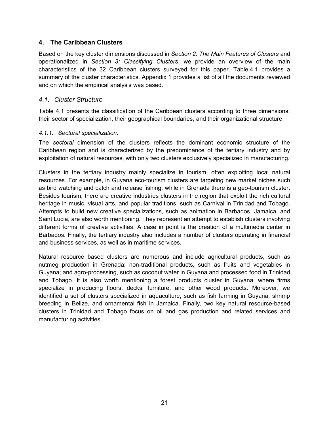### <span id="page-23-0"></span>**4. The Caribbean Clusters**

Based on the key cluster dimensions discussed in *Section 2: The Main Features of Clusters* and operationalized in *Section 3: Classifying Clusters*, we provide an overview of the main characteristics of the 32 Caribbean clusters surveyed for this paper. Table 4.1 provides a summary of the cluster characteristics. Appendix 1 provides a list of all the documents reviewed and on which the empirical analysis was based.

### <span id="page-23-1"></span>*4.1. Cluster Structure*

Table 4.1 presents the classification of the Caribbean clusters according to three dimensions: their sector of specialization, their geographical boundaries, and their organizational structure.

### <span id="page-23-2"></span>*4.1.1. Sectoral specialization.*

The *sectoral* dimension of the clusters reflects the dominant economic structure of the Caribbean region and is characterized by the predominance of the tertiary industry and by exploitation of natural resources, with only two clusters exclusively specialized in manufacturing.

Clusters in the tertiary industry mainly specialize in tourism, often exploiting local natural resources. For example, in Guyana eco-tourism clusters are targeting new market niches such as bird watching and catch and release fishing, while in Grenada there is a geo-tourism cluster. Besides tourism, there are creative industries clusters in the region that exploit the rich cultural heritage in music, visual arts, and popular traditions, such as Carnival in Trinidad and Tobago. Attempts to build new creative specializations, such as animation in Barbados, Jamaica, and Saint Lucia, are also worth mentioning. They represent an attempt to establish clusters involving different forms of creative activities. A case in point is the creation of a multimedia center in Barbados. Finally, the tertiary industry also includes a number of clusters operating in financial and business services, as well as in maritime services.

Natural resource based clusters are numerous and include agricultural products, such as nutmeg production in Grenada; non-traditional products, such as fruits and vegetables in Guyana; and agro-processing, such as coconut water in Guyana and processed food in Trinidad and Tobago. It is also worth mentioning a forest products cluster in Guyana, where firms specialize in producing floors, decks, furniture, and other wood products. Moreover, we identified a set of clusters specialized in aquaculture, such as fish farming in Guyana, shrimp breeding in Belize, and ornamental fish in Jamaica. Finally, two key natural resource-based clusters in Trinidad and Tobago focus on oil and gas production and related services and manufacturing activities.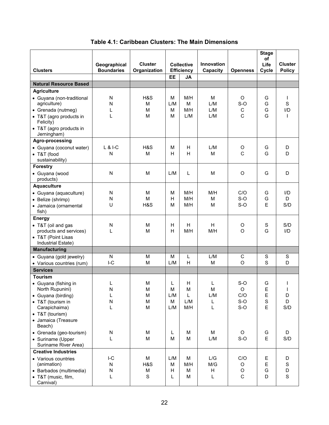| <b>Clusters</b>                                                                                         | Geographical<br><b>Boundaries</b> | <b>Cluster</b><br>Organization | <b>Collective</b><br><b>Efficiency</b> |                        | <b>Innovation</b><br>Capacity | <b>Openness</b>                       | <b>Stage</b><br>of<br>Life<br>Cycle | <b>Cluster</b><br><b>Policy</b>                    |
|---------------------------------------------------------------------------------------------------------|-----------------------------------|--------------------------------|----------------------------------------|------------------------|-------------------------------|---------------------------------------|-------------------------------------|----------------------------------------------------|
|                                                                                                         |                                   |                                | <b>EE</b>                              | <b>JA</b>              |                               |                                       |                                     |                                                    |
| <b>Natural Resource Based</b>                                                                           |                                   |                                |                                        |                        |                               |                                       |                                     |                                                    |
| <b>Agriculture</b>                                                                                      |                                   |                                |                                        |                        |                               |                                       |                                     |                                                    |
| • Guyana (non-traditional<br>agriculture)<br>• Grenada (nutmeg)<br>• T&T (agro products in<br>Felicity) | N<br>N<br>L<br>L                  | H&S<br>M<br>м<br>M             | M<br>L/M<br>M<br>M                     | M/H<br>M<br>M/H<br>L/M | M<br>L/M<br>L/M<br>L/M        | $\circ$<br>$S-O$<br>C<br>$\mathsf{C}$ | G<br>G<br>G<br>G                    | $\mathbf{I}$<br>$\mathbf S$<br>I/D<br>$\mathbf{I}$ |
| • T&T (agro products in<br>Jerningham)                                                                  |                                   |                                |                                        |                        |                               |                                       |                                     |                                                    |
| Agro-processing                                                                                         |                                   |                                |                                        |                        |                               |                                       |                                     |                                                    |
| • Guyana (coconut water)<br>• T&T (food<br>sustainability)                                              | $L$ & I-C<br>N                    | H&S<br>M                       | М<br>н                                 | H<br>H                 | L/M<br>M                      | O<br>$\mathsf{C}$                     | G<br>G                              | D<br>D                                             |
| Forestry                                                                                                |                                   |                                |                                        |                        |                               |                                       |                                     |                                                    |
| · Guyana (wood<br>products)                                                                             | N                                 | M                              | L/M                                    | L                      | M                             | O                                     | G                                   | D                                                  |
| <b>Aquaculture</b>                                                                                      |                                   |                                |                                        |                        |                               |                                       |                                     |                                                    |
| • Guyana (aquaculture)                                                                                  | N                                 | M                              | М                                      | M/H                    | M/H                           | C/O                                   | G                                   | I/D                                                |
| • Belize (shrimp)                                                                                       | N                                 | M                              | H                                      | M/H                    | M                             | $S-O$                                 | G                                   | D                                                  |
| · Jamaica (ornamental<br>fish)                                                                          | U                                 | H&S                            | М                                      | M/H                    | М                             | $S-O$                                 | E                                   | S/D                                                |
| <b>Energy</b>                                                                                           |                                   |                                |                                        |                        |                               |                                       |                                     |                                                    |
| • T&T (oil and gas                                                                                      | N                                 | м                              | H                                      | H                      | H                             | O                                     | S                                   | S/D                                                |
| products and services)                                                                                  | L                                 | M                              | н                                      | M/H                    | M/H                           | $\Omega$                              | G                                   | I/D                                                |
| • T&T (Point Lisas<br>Industrial Estate)                                                                |                                   |                                |                                        |                        |                               |                                       |                                     |                                                    |
| <b>Manufacturing</b>                                                                                    |                                   |                                |                                        |                        |                               |                                       |                                     |                                                    |
| • Guyana (gold jewelry)<br>• Various countries (rum)                                                    | N<br>$I-C$                        | M<br>M                         | м<br>L/M                               | L<br>H                 | L/M<br>M                      | C<br>$\Omega$                         | $\mathbf S$<br>S                    | ${\mathsf S}$<br>D                                 |
| <b>Services</b>                                                                                         |                                   |                                |                                        |                        |                               |                                       |                                     |                                                    |
| <b>Tourism</b>                                                                                          |                                   |                                |                                        |                        |                               |                                       |                                     |                                                    |
| • Guyana (fishing in<br>North Rupunini)                                                                 | L<br>N                            | M<br>M                         | L<br>M                                 | н<br>M                 | L<br>M                        | $S-O$<br>$\Omega$                     | G<br>F                              | $\mathbf{I}$                                       |
| • Guyana (birding)                                                                                      | L                                 | M                              | L/M                                    | L                      | L/M                           | C/O                                   | E                                   | D                                                  |
| • T&T (tourism in<br>Carapichaima)                                                                      | N<br>L                            | M<br>M                         | M<br>L/M                               | L/M<br>M/H             | L<br>L                        | $S-O$<br>$S-O$                        | $\mathbf S$<br>E                    | D<br>S/D                                           |
| • T&T (tourism)                                                                                         |                                   |                                |                                        |                        |                               |                                       |                                     |                                                    |
| • Jamaica (Treasure<br>Beach)                                                                           |                                   |                                |                                        |                        |                               |                                       |                                     |                                                    |
| • Grenada (geo-tourism)                                                                                 | N                                 | M                              | L                                      | M                      | M                             | $\circ$                               | G                                   | D                                                  |
| • Suriname (Upper<br>Suriname River Area)                                                               | L                                 | M                              | M                                      | M                      | L/M                           | $S-O$                                 | E                                   | S/D                                                |
| <b>Creative Industries</b>                                                                              |                                   |                                |                                        |                        |                               |                                       |                                     |                                                    |
| • Various countries                                                                                     | $I-C$                             | M                              | L/M                                    | M                      | L/G                           | C/O                                   | E                                   | D                                                  |
| (animation)                                                                                             | N                                 | H&S                            | M                                      | M/H                    | M/G                           | O                                     | E                                   | S                                                  |
| • Barbados (multimedia)                                                                                 | N                                 | M                              | H                                      | M                      | H                             | $\mathsf O$                           | G                                   | D                                                  |
| • T&T (music, film,<br>Carnival)                                                                        | L                                 | S                              | L                                      | M                      | L                             | $\mathsf C$                           | D                                   | $\mathbf S$                                        |

**Table 4.1: Caribbean Clusters: The Main Dimensions**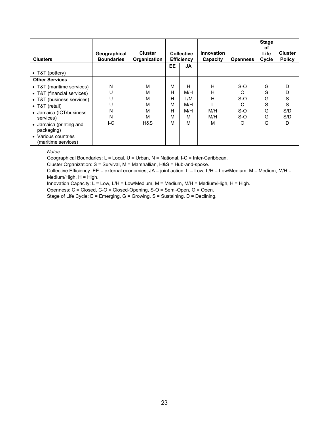| <b>Clusters</b>                            | Geographical<br><b>Boundaries</b> | <b>Cluster</b><br>Organization | <b>Collective</b><br><b>Efficiency</b> |     |     |       | <b>Innovation</b><br>Capacity | <b>Openness</b> | <b>Stage</b><br>оf<br>Life<br>Cycle | <b>Cluster</b><br><b>Policy</b> |
|--------------------------------------------|-----------------------------------|--------------------------------|----------------------------------------|-----|-----|-------|-------------------------------|-----------------|-------------------------------------|---------------------------------|
|                                            |                                   |                                | <b>EE</b>                              | JA  |     |       |                               |                 |                                     |                                 |
| • $T&T$ (pottery)                          |                                   |                                |                                        |     |     |       |                               |                 |                                     |                                 |
| <b>Other Services</b>                      |                                   |                                |                                        |     |     |       |                               |                 |                                     |                                 |
| • T&T (maritime services)                  | N                                 | м                              | М                                      | н   | н   | $S-O$ | G                             | D               |                                     |                                 |
| • T&T (financial services)                 | U                                 | М                              | н                                      | M/H | н   | ∩     | S                             | D               |                                     |                                 |
| • T&T (business services)                  | U                                 | М                              | н                                      | L/M | н   | $S-O$ | G                             | S               |                                     |                                 |
| • T&T (retail)                             | U                                 | М                              | М                                      | M/H |     | C     | S                             | S               |                                     |                                 |
| • Jamaica (ICT/business                    | N                                 | M                              | н                                      | M/H | M/H | $S-O$ | G                             | S/D             |                                     |                                 |
| services)                                  | N                                 | М                              | М                                      | М   | M/H | $S-O$ | G                             | S/D             |                                     |                                 |
| • Jamaica (printing and<br>packaging)      | I-C                               | H&S                            | М                                      | М   | м   | O     | G                             | D               |                                     |                                 |
| • Various countries<br>(maritime services) |                                   |                                |                                        |     |     |       |                               |                 |                                     |                                 |

#### *Notes:*

Geographical Boundaries: L = Local, U = Urban, N = National, I-C = Inter-Caribbean.

Cluster Organization: S = Survival, M = Marshallian, H&S = Hub-and-spoke.

Collective Efficiency: EE = external economies, JA = joint action; L = Low, L/H = Low/Medium, M = Medium, M/H = Medium/High, H = High.

Innovation Capacity:  $L = Low$ ,  $L/H = Low/Median$ ,  $M = Median$ ,  $M/H = Median/High$ ,  $H = High$ .

Openness: C = Closed, C-O = Closed-Opening, S-O = Semi-Open, O = Open.

Stage of Life Cycle: E = Emerging, G = Growing, S = Sustaining, D = Declining.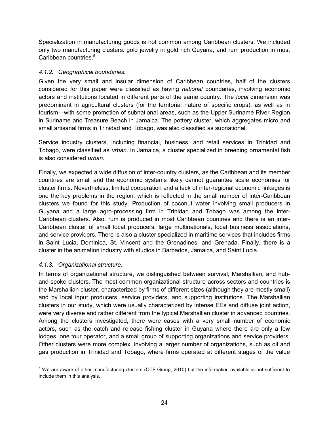Specialization in manufacturing goods is not common among Caribbean clusters. We included only two manufacturing clusters: gold jewelry in gold rich Guyana, and rum production in most Caribbean countries. $5$ 

### <span id="page-26-0"></span>*4.1.2. Geographical boundaries.*

Given the very small and insular dimension of Caribbean countries, half of the clusters considered for this paper were classified as having *national* boundaries, involving economic actors and institutions located in different parts of the same country. The *local* dimension was predominant in agricultural clusters (for the territorial nature of specific crops), as well as in tourism—with some promotion of subnational areas, such as the Upper Suriname River Region in Suriname and Treasure Beach in Jamaica. The pottery cluster, which aggregates micro and small artisanal firms in Trinidad and Tobago, was also classified as subnational.

Service industry clusters, including financial, business, and retail services in Trinidad and Tobago, were classified as *urban*. In Jamaica, a cluster specialized in breeding ornamental fish is also considered *urban*.

Finally, we expected a wide diffusion of inter-country clusters, as the Caribbean and its member countries are small and the economic systems likely cannot guarantee scale economies for cluster firms. Nevertheless, limited cooperation and a lack of inter-regional economic linkages is one the key problems in the region, which is reflected in the small number of inter-Caribbean clusters we found for this study. Production of coconut water involving small producers in Guyana and a large agro-processing firm in Trinidad and Tobago was among the inter-Caribbean clusters. Also, rum is produced in most Caribbean countries and there is an inter-Caribbean cluster of small local producers, large multinationals, local business associations, and service providers. There is also a cluster specialized in maritime services that includes firms in Saint Lucia, Dominica, St. Vincent and the Grenadines, and Grenada. Finally, there is a cluster in the animation industry with studios in Barbados, Jamaica, and Saint Lucia.

### <span id="page-26-1"></span>*4.1.3. Organizational structure.*

In terms of organizational structure, we distinguished between survival, Marshallian, and huband-spoke clusters. The most common organizational structure across sectors and countries is the Marshallian cluster, characterized by firms of different sizes (although they are mostly small) and by local input producers, service providers, and supporting institutions. The Marshallian clusters in our study, which were usually characterized by intense EEs and diffuse joint action, were very diverse and rather different from the typical Marshallian cluster in advanced countries. Among the clusters investigated, there were cases with a very small number of economic actors, such as the catch and release fishing cluster in Guyana where there are only a few lodges, one tour operator, and a small group of supporting organizations and service providers. Other clusters were more complex, involving a larger number of organizations, such as oil and gas production in Trinidad and Tobago, where firms operated at different stages of the value

<sup>&</sup>lt;sup>5</sup> We are aware of other manufacturing clusters (OTF Group, 2010) but the information available is not sufficient to include them in this analysis.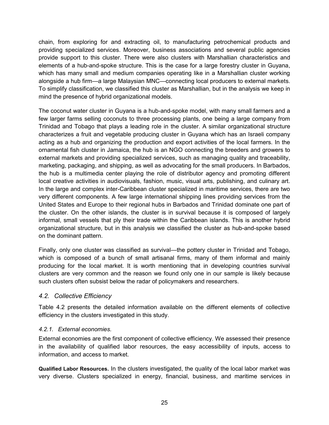chain, from exploring for and extracting oil, to manufacturing petrochemical products and providing specialized services. Moreover, business associations and several public agencies provide support to this cluster. There were also clusters with Marshallian characteristics and elements of a hub-and-spoke structure. This is the case for a large forestry cluster in Guyana, which has many small and medium companies operating like in a Marshallian cluster working alongside a hub firm—a large Malaysian MNC—connecting local producers to external markets. To simplify classification, we classified this cluster as Marshallian, but in the analysis we keep in mind the presence of hybrid organizational models.

The coconut water cluster in Guyana is a hub-and-spoke model, with many small farmers and a few larger farms selling coconuts to three processing plants, one being a large company from Trinidad and Tobago that plays a leading role in the cluster. A similar organizational structure characterizes a fruit and vegetable producing cluster in Guyana which has an Israeli company acting as a hub and organizing the production and export activities of the local farmers. In the ornamental fish cluster in Jamaica, the hub is an NGO connecting the breeders and growers to external markets and providing specialized services, such as managing quality and traceability, marketing, packaging, and shipping, as well as advocating for the small producers. In Barbados, the hub is a multimedia center playing the role of distributor agency and promoting different local creative activities in audiovisuals, fashion, music, visual arts, publishing, and culinary art. In the large and complex inter-Caribbean cluster specialized in maritime services, there are two very different components. A few large international shipping lines providing services from the United States and Europe to their regional hubs in Barbados and Trinidad dominate one part of the cluster. On the other islands, the cluster is in survival because it is composed of largely informal, small vessels that ply their trade within the Caribbean islands. This is another hybrid organizational structure, but in this analysis we classified the cluster as hub-and-spoke based on the dominant pattern.

Finally, only one cluster was classified as survival—the pottery cluster in Trinidad and Tobago, which is composed of a bunch of small artisanal firms, many of them informal and mainly producing for the local market. It is worth mentioning that in developing countries survival clusters are very common and the reason we found only one in our sample is likely because such clusters often subsist below the radar of policymakers and researchers.

### <span id="page-27-0"></span>*4.2. Collective Efficiency*

Table 4.2 presents the detailed information available on the different elements of collective efficiency in the clusters investigated in this study.

### <span id="page-27-1"></span>*4.2.1. External economies.*

External economies are the first component of collective efficiency. We assessed their presence in the availability of qualified labor resources, the easy accessibility of inputs, access to information, and access to market.

**Qualified Labor Resources.** In the clusters investigated, the quality of the local labor market was very diverse. Clusters specialized in energy, financial, business, and maritime services in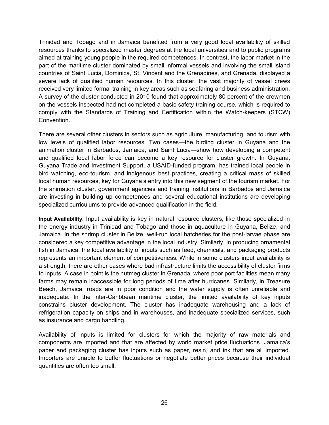Trinidad and Tobago and in Jamaica benefited from a very good local availability of skilled resources thanks to specialized master degrees at the local universities and to public programs aimed at training young people in the required competences. In contrast, the labor market in the part of the maritime cluster dominated by small informal vessels and involving the small island countries of Saint Lucia, Dominica, St. Vincent and the Grenadines, and Grenada, displayed a severe lack of qualified human resources. In this cluster, the vast majority of vessel crews received very limited formal training in key areas such as seafaring and business administration. A survey of the cluster conducted in 2010 found that approximately 80 percent of the crewmen on the vessels inspected had not completed a basic safety training course, which is required to comply with the Standards of Training and Certification within the Watch-keepers (STCW) Convention.

There are several other clusters in sectors such as agriculture, manufacturing, and tourism with low levels of qualified labor resources. Two cases—the birding cluster in Guyana and the animation cluster in Barbados, Jamaica, and Saint Lucia—show how developing a competent and qualified local labor force can become a key resource for cluster growth. In Guyana, Guyana Trade and Investment Support, a USAID-funded program, has trained local people in bird watching, eco-tourism, and indigenous best practices, creating a critical mass of skilled local human resources, key for Guyana's entry into this new segment of the tourism market. For the animation cluster, government agencies and training institutions in Barbados and Jamaica are investing in building up competences and several educational institutions are developing specialized curriculums to provide advanced qualification in the field.

**Input Availability.** Input availability is key in natural resource clusters, like those specialized in the energy industry in Trinidad and Tobago and those in aquaculture in Guyana, Belize, and Jamaica. In the shrimp cluster in Belize, well-run local hatcheries for the post-larvae phase are considered a key competitive advantage in the local industry. Similarly, in producing ornamental fish in Jamaica, the local availability of inputs such as feed, chemicals, and packaging products represents an important element of competitiveness. While in some clusters input availability is a strength, there are other cases where bad infrastructure limits the accessibility of cluster firms to inputs. A case in point is the nutmeg cluster in Grenada, where poor port facilities mean many farms may remain inaccessible for long periods of time after hurricanes. Similarly, in Treasure Beach, Jamaica, roads are in poor condition and the water supply is often unreliable and inadequate. In the inter-Caribbean maritime cluster, the limited availability of key inputs constrains cluster development. The cluster has inadequate warehousing and a lack of refrigeration capacity on ships and in warehouses, and inadequate specialized services, such as insurance and cargo handling.

Availability of inputs is limited for clusters for which the majority of raw materials and components are imported and that are affected by world market price fluctuations. Jamaica's paper and packaging cluster has inputs such as paper, resin, and ink that are all imported. Importers are unable to buffer fluctuations or negotiate better prices because their individual quantities are often too small.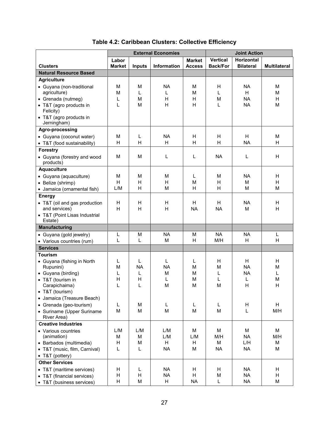|                                      | <b>External Economies</b> |               | <b>Joint Action</b> |               |                 |                   |                     |
|--------------------------------------|---------------------------|---------------|---------------------|---------------|-----------------|-------------------|---------------------|
|                                      | Labor                     |               |                     | <b>Market</b> | <b>Vertical</b> | <b>Horizontal</b> |                     |
| <b>Clusters</b>                      | <b>Market</b>             | <b>Inputs</b> | <b>Information</b>  | <b>Access</b> | <b>Back/For</b> | <b>Bilateral</b>  | <b>Multilateral</b> |
| <b>Natural Resource Based</b>        |                           |               |                     |               |                 |                   |                     |
| <b>Agriculture</b>                   |                           |               |                     |               |                 |                   |                     |
| • Guyana (non-traditional            | M                         | M             | <b>NA</b>           | М             | Η               | <b>NA</b>         | М                   |
| agriculture)                         | M                         | L             | L                   | M             | L               | H                 | M                   |
| • Grenada (nutmeg)                   | L                         | M             | H                   | H             | M               | <b>NA</b>         | H                   |
| • T&T (agro products in              | L                         | M             | H                   | H             | L               | <b>NA</b>         | M                   |
| Felicity)<br>• T&T (agro products in |                           |               |                     |               |                 |                   |                     |
| Jerningham)                          |                           |               |                     |               |                 |                   |                     |
| Agro-processing                      |                           |               |                     |               |                 |                   |                     |
| • Guyana (coconut water)             | М                         | L             | <b>NA</b>           | H             | H               | H                 | М                   |
| • T&T (food sustainability)          | H                         | н             | H                   | H             | H               | <b>NA</b>         | H                   |
| <b>Forestry</b>                      |                           |               |                     |               |                 |                   |                     |
| • Guyana (forestry and wood          | M                         | M             | L                   | L             | <b>NA</b>       | L                 | H                   |
| products)                            |                           |               |                     |               |                 |                   |                     |
| <b>Aquaculture</b>                   |                           |               |                     |               |                 |                   |                     |
| · Guyana (aquaculture)               | M                         | М             | М                   | L             | м               | <b>NA</b>         | H                   |
| • Belize (shrimp)                    | H                         | н             | H                   | М             | H               | M                 | H                   |
| • Jamaica (ornamental fish)          | L/M                       | H             | M                   | H             | H               | M                 | M                   |
| <b>Energy</b>                        |                           |               |                     |               |                 |                   |                     |
| • T&T (oil and gas production        | H                         | H             | H                   | H             | H               | <b>NA</b>         | H                   |
| and services)                        | H                         | Η             | H                   | <b>NA</b>     | <b>NA</b>       | M                 | H                   |
| • T&T (Point Lisas Industrial        |                           |               |                     |               |                 |                   |                     |
| Estate)                              |                           |               |                     |               |                 |                   |                     |
| <b>Manufacturing</b>                 |                           |               |                     |               |                 |                   |                     |
| • Guyana (gold jewelry)              | L                         | M             | <b>NA</b>           | М             | <b>NA</b>       | <b>NA</b>         | L                   |
| • Various countries (rum)            | L                         | L             | M                   | H             | M/H             | H                 | H                   |
| <b>Services</b>                      |                           |               |                     |               |                 |                   |                     |
| <b>Tourism</b>                       |                           |               |                     |               |                 |                   |                     |
| • Guyana (fishing in North           | L                         | L             | L                   | L             | H               | H                 | H                   |
| Rupunini)                            | М                         | <b>NA</b>     | <b>NA</b>           | М             | M               | <b>NA</b>         | M                   |
| • Guyana (birding)                   | L<br>н                    | L<br>Η        | M<br>L              | М<br>М        | L<br>L          | <b>NA</b><br>L    | L<br>М              |
| • T&T (tourism in<br>Carapichaima)   | L                         | L             | M                   | M             | M               | H                 | Н                   |
| • T&T (tourism)                      |                           |               |                     |               |                 |                   |                     |
| • Jamaica (Treasure Beach)           |                           |               |                     |               |                 |                   |                     |
| • Grenada (geo-tourism)              | Г                         | M             | L                   | L             | L               | H                 | H                   |
| • Suriname (Upper Suriname           | M                         | M             | M                   | M             | M               | L                 | M/H                 |
| River Area)                          |                           |               |                     |               |                 |                   |                     |
| <b>Creative Industries</b>           |                           |               |                     |               |                 |                   |                     |
| • Various countries                  | L/M                       | L/M           | L/M                 | M             | M               | M                 | M                   |
| (animation)                          | M                         | M             | L/M                 | L/M           | M/H             | <b>NA</b>         | M/H                 |
| • Barbados (multimedia)              | н                         | M             | H                   | н             | M               | L/H               | M                   |
| • T&T (music, film, Carnival)        | Г                         | Г             | <b>NA</b>           | M             | <b>NA</b>       | <b>NA</b>         | M                   |
| • T&T (pottery)                      |                           |               |                     |               |                 |                   |                     |
| <b>Other Services</b>                |                           |               |                     |               |                 |                   |                     |
| • T&T (maritime services)            | н                         | Г             | <b>NA</b>           | H             | H               | <b>NA</b>         | H                   |
| • T&T (financial services)           | н                         | н             | <b>NA</b>           | H             | M               | <b>NA</b>         | H                   |
| • T&T (business services)            | H                         | M             | H                   | <b>NA</b>     | L               | <b>NA</b>         | M                   |

# **Table 4.2: Caribbean Clusters: Collective Efficiency**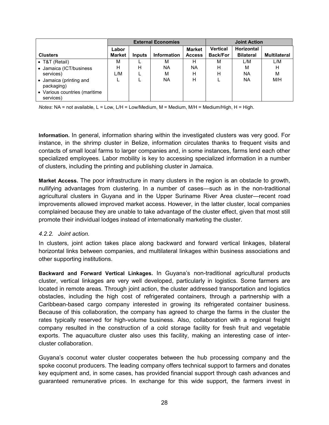|                                          | <b>External Economies</b> |        |                    | <b>Joint Action</b>            |                                    |                                       |                     |
|------------------------------------------|---------------------------|--------|--------------------|--------------------------------|------------------------------------|---------------------------------------|---------------------|
| <b>Clusters</b>                          | Labor<br><b>Market</b>    | Inputs | <b>Information</b> | <b>Market</b><br><b>Access</b> | <b>Vertical</b><br><b>Back/For</b> | <b>Horizontal</b><br><b>Bilateral</b> | <b>Multilateral</b> |
| • T&T (Retail)                           | М                         |        | М                  | н                              | М                                  | L/M                                   | L/M                 |
| • Jamaica (ICT/business<br>services)     | н<br>L/M                  | Н      | ΝA<br>М            | ΝA<br>н                        | н<br>Н                             | М<br><b>NA</b>                        | H<br>M              |
| • Jamaica (printing and<br>packaging)    |                           |        | <b>NA</b>          | н                              |                                    | NA.                                   | M/H                 |
| Various countries (maritime<br>services) |                           |        |                    |                                |                                    |                                       |                     |

*Notes*: NA = not available, L = Low, L/H = Low/Medium, M = Medium, M/H = Medium/High, H = High.

**Information.** In general, information sharing within the investigated clusters was very good. For instance, in the shrimp cluster in Belize, information circulates thanks to frequent visits and contacts of small local farms to larger companies and, in some instances, farms lend each other specialized employees. Labor mobility is key to accessing specialized information in a number of clusters, including the printing and publishing cluster in Jamaica.

**Market Access.** The poor infrastructure in many clusters in the region is an obstacle to growth, nullifying advantages from clustering. In a number of cases—such as in the non-traditional agricultural clusters in Guyana and in the Upper Suriname River Area cluster—recent road improvements allowed improved market access. However, in the latter cluster, local companies complained because they are unable to take advantage of the cluster effect, given that most still promote their individual lodges instead of internationally marketing the cluster.

### <span id="page-30-0"></span>*4.2.2. Joint action.*

In clusters, joint action takes place along backward and forward vertical linkages, bilateral horizontal links between companies, and multilateral linkages within business associations and other supporting institutions.

**Backward and Forward Vertical Linkages.** In Guyana's non-traditional agricultural products cluster, vertical linkages are very well developed, particularly in logistics. Some farmers are located in remote areas. Through joint action, the cluster addressed transportation and logistics obstacles, including the high cost of refrigerated containers, through a partnership with a Caribbean-based cargo company interested in growing its refrigerated container business. Because of this collaboration, the company has agreed to charge the farms in the cluster the rates typically reserved for high-volume business. Also, collaboration with a regional freight company resulted in the construction of a cold storage facility for fresh fruit and vegetable exports. The aquaculture cluster also uses this facility, making an interesting case of intercluster collaboration.

Guyana's coconut water cluster cooperates between the hub processing company and the spoke coconut producers. The leading company offers technical support to farmers and donates key equipment and, in some cases, has provided financial support through cash advances and guaranteed remunerative prices. In exchange for this wide support, the farmers invest in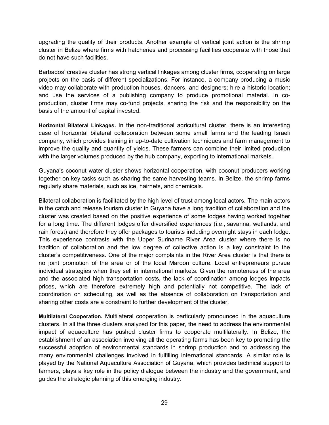upgrading the quality of their products. Another example of vertical joint action is the shrimp cluster in Belize where firms with hatcheries and processing facilities cooperate with those that do not have such facilities.

Barbados' creative cluster has strong vertical linkages among cluster firms, cooperating on large projects on the basis of different specializations. For instance, a company producing a music video may collaborate with production houses, dancers, and designers; hire a historic location; and use the services of a publishing company to produce promotional material. In coproduction, cluster firms may co-fund projects, sharing the risk and the responsibility on the basis of the amount of capital invested.

**Horizontal Bilateral Linkages.** In the non-traditional agricultural cluster, there is an interesting case of horizontal bilateral collaboration between some small farms and the leading Israeli company, which provides training in up-to-date cultivation techniques and farm management to improve the quality and quantity of yields. These farmers can combine their limited production with the larger volumes produced by the hub company, exporting to international markets.

Guyana's coconut water cluster shows horizontal cooperation, with coconut producers working together on key tasks such as sharing the same harvesting teams. In Belize, the shrimp farms regularly share materials, such as ice, hairnets, and chemicals.

Bilateral collaboration is facilitated by the high level of trust among local actors. The main actors in the catch and release tourism cluster in Guyana have a long tradition of collaboration and the cluster was created based on the positive experience of some lodges having worked together for a long time. The different lodges offer diversified experiences (i.e., savanna, wetlands, and rain forest) and therefore they offer packages to tourists including overnight stays in each lodge. This experience contrasts with the Upper Suriname River Area cluster where there is no tradition of collaboration and the low degree of collective action is a key constraint to the cluster's competitiveness. One of the major complaints in the River Area cluster is that there is no joint promotion of the area or of the local Maroon culture. Local entrepreneurs pursue individual strategies when they sell in international markets. Given the remoteness of the area and the associated high transportation costs, the lack of coordination among lodges impacts prices, which are therefore extremely high and potentially not competitive. The lack of coordination on scheduling, as well as the absence of collaboration on transportation and sharing other costs are a constraint to further development of the cluster.

**Multilateral Cooperation.** Multilateral cooperation is particularly pronounced in the aquaculture clusters. In all the three clusters analyzed for this paper, the need to address the environmental impact of aquaculture has pushed cluster firms to cooperate multilaterally. In Belize, the establishment of an association involving all the operating farms has been key to promoting the successful adoption of environmental standards in shrimp production and to addressing the many environmental challenges involved in fulfilling international standards. A similar role is played by the National Aquaculture Association of Guyana, which provides technical support to farmers, plays a key role in the policy dialogue between the industry and the government, and guides the strategic planning of this emerging industry.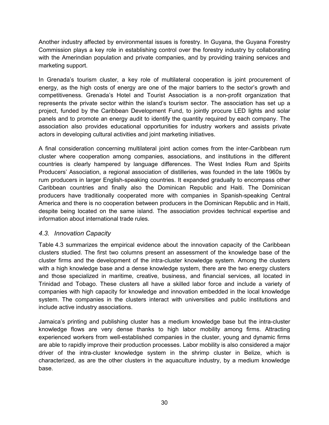Another industry affected by environmental issues is forestry. In Guyana, the Guyana Forestry Commission plays a key role in establishing control over the forestry industry by collaborating with the Amerindian population and private companies, and by providing training services and marketing support.

In Grenada's tourism cluster, a key role of multilateral cooperation is joint procurement of energy, as the high costs of energy are one of the major barriers to the sector's growth and competitiveness. Grenada's Hotel and Tourist Association is a non-profit organization that represents the private sector within the island's tourism sector. The association has set up a project, funded by the Caribbean Development Fund, to jointly procure LED lights and solar panels and to promote an energy audit to identify the quantity required by each company. The association also provides educational opportunities for industry workers and assists private actors in developing cultural activities and joint marketing initiatives.

A final consideration concerning multilateral joint action comes from the inter-Caribbean rum cluster where cooperation among companies, associations, and institutions in the different countries is clearly hampered by language differences. The West Indies Rum and Spirits Producers' Association, a regional association of distilleries, was founded in the late 1960s by rum producers in larger English-speaking countries. It expanded gradually to encompass other Caribbean countries and finally also the Dominican Republic and Haiti. The Dominican producers have traditionally cooperated more with companies in Spanish-speaking Central America and there is no cooperation between producers in the Dominican Republic and in Haiti, despite being located on the same island. The association provides technical expertise and information about international trade rules.

### <span id="page-32-0"></span>*4.3. Innovation Capacity*

Table 4.3 summarizes the empirical evidence about the innovation capacity of the Caribbean clusters studied. The first two columns present an assessment of the knowledge base of the cluster firms and the development of the intra-cluster knowledge system. Among the clusters with a high knowledge base and a dense knowledge system, there are the two energy clusters and those specialized in maritime, creative, business, and financial services, all located in Trinidad and Tobago. These clusters all have a skilled labor force and include a variety of companies with high capacity for knowledge and innovation embedded in the local knowledge system. The companies in the clusters interact with universities and public institutions and include active industry associations.

Jamaica's printing and publishing cluster has a medium knowledge base but the intra-cluster knowledge flows are very dense thanks to high labor mobility among firms. Attracting experienced workers from well-established companies in the cluster, young and dynamic firms are able to rapidly improve their production processes. Labor mobility is also considered a major driver of the intra-cluster knowledge system in the shrimp cluster in Belize, which is characterized, as are the other clusters in the aquaculture industry, by a medium knowledge base.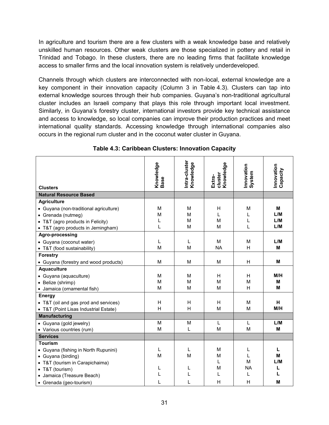In agriculture and tourism there are a few clusters with a weak knowledge base and relatively unskilled human resources. Other weak clusters are those specialized in pottery and retail in Trinidad and Tobago. In these clusters, there are no leading firms that facilitate knowledge access to smaller firms and the local innovation system is relatively underdeveloped.

Channels through which clusters are interconnected with non-local, external knowledge are a key component in their innovation capacity (Column 3 in Table 4.3). Clusters can tap into external knowledge sources through their hub companies. Guyana's non-traditional agricultural cluster includes an Israeli company that plays this role through important local investment. Similarly, in Guyana's forestry cluster, international investors provide key technical assistance and access to knowledge, so local companies can improve their production practices and meet international quality standards. Accessing knowledge through international companies also occurs in the regional rum cluster and in the coconut water cluster in Guyana.

|                                        | Knowledge<br>Base | Intra-cluster<br>Knowledge | Knowledge         | Innovation<br>System | Innovation<br>Capacity |
|----------------------------------------|-------------------|----------------------------|-------------------|----------------------|------------------------|
|                                        |                   |                            | cluster<br>Extra- |                      |                        |
| <b>Clusters</b>                        |                   |                            |                   |                      |                        |
| <b>Natural Resource Based</b>          |                   |                            |                   |                      |                        |
| <b>Agriculture</b>                     |                   |                            |                   |                      |                        |
| • Guyana (non-traditional agriculture) | M                 | M                          | H                 | M                    | M                      |
| • Grenada (nutmeg)                     | M                 | M                          | L                 | L                    | L/M                    |
| • T&T (agro products in Felicity)      | L                 | M                          | М                 | L                    | L/M                    |
| • T&T (agro products in Jerningham)    | L                 | M                          | M                 | L                    | L/M                    |
| Agro-processing                        |                   |                            |                   |                      |                        |
| • Guyana (coconut water)               | L                 | L                          | М                 | М                    | L/M                    |
| • T&T (food sustainability)            | M                 | M                          | <b>NA</b>         | H                    | M                      |
| <b>Forestry</b>                        |                   |                            |                   |                      |                        |
| • Guyana (forestry and wood products)  | M                 | M                          | M                 | н                    | M                      |
| <b>Aquaculture</b>                     |                   |                            |                   |                      |                        |
| · Guyana (aquaculture)                 | M                 | M                          | H                 | H                    | M/H                    |
| • Belize (shrimp)                      | M                 | M                          | M                 | M                    | M                      |
| · Jamaica (ornamental fish)            | M                 | M                          | M                 | H                    | M                      |
| <b>Energy</b>                          |                   |                            |                   |                      |                        |
| • T&T (oil and gas prod and services)  | H                 | H                          | H                 | M                    | н                      |
| • T&T (Point Lisas Industrial Estate)  | H                 | Н                          | М                 | M                    | M/H                    |
| <b>Manufacturing</b>                   |                   |                            |                   |                      |                        |
| • Guyana (gold jewelry)                | M                 | M                          | L                 | L                    | L/M                    |
| • Various countries (rum)              | M                 | L                          | M                 | M                    | M                      |
| <b>Services</b>                        |                   |                            |                   |                      |                        |
| <b>Tourism</b>                         |                   |                            |                   |                      |                        |
| • Guyana (fishing in North Rupunini)   | L                 | L                          | M                 | L                    | L                      |
| • Guyana (birding)                     | M                 | M                          | М                 | L                    | M                      |
| • T&T (tourism in Carapichaima)        |                   |                            | L                 | M                    | L/M                    |
| • T&T (tourism)                        | L                 | L                          | M                 | <b>NA</b>            | L<br>L                 |
| · Jamaica (Treasure Beach)             |                   |                            |                   | L                    |                        |
| • Grenada (geo-tourism)                | L                 | L                          | н                 | H                    | M                      |

**Table 4.3: Caribbean Clusters: Innovation Capacity**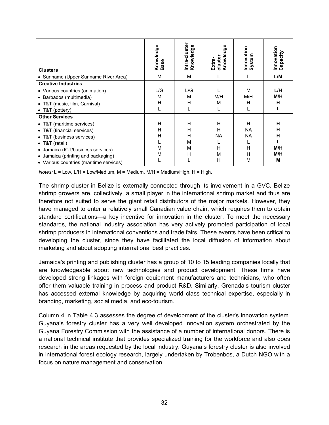| <b>Clusters</b>                                                                                                                                                                                                              | Knowledge<br><b>Base</b> | Intra-cluster<br>Knowledge | Knowledge<br>cluster<br>Extra- | Innovation<br>System                       | Innovation<br>Capacity         |
|------------------------------------------------------------------------------------------------------------------------------------------------------------------------------------------------------------------------------|--------------------------|----------------------------|--------------------------------|--------------------------------------------|--------------------------------|
| • Suriname (Upper Suriname River Area)                                                                                                                                                                                       | М                        | M                          |                                |                                            | L/M                            |
| <b>Creative Industries</b>                                                                                                                                                                                                   |                          |                            |                                |                                            |                                |
| • Various countries (animation)<br>• Barbados (multimedia)<br>• T&T (music, film, Carnival)<br>• T&T (pottery)                                                                                                               | L/G<br>м<br>н            | L/G<br>M<br>н              | M/H<br>м                       | M<br>M/H<br>н                              | L/H<br>M/H<br>н                |
| <b>Other Services</b>                                                                                                                                                                                                        |                          |                            |                                |                                            |                                |
| • T&T (maritime services)<br>• T&T (financial services)<br>• T&T (business services)<br>• T&T (retail)<br>• Jamaica (ICT/business services)<br>• Jamaica (printing and packaging)<br>• Various countries (maritime services) | H<br>н<br>н<br>М<br>М    | H<br>н<br>н<br>M<br>M<br>н | Н<br>н<br>ΝA<br>н<br>м<br>н    | н<br><b>NA</b><br><b>NA</b><br>н<br>н<br>М | н<br>н<br>н<br>M/H<br>M/H<br>M |

*Notes:* L = Low, L/H = Low/Medium, M = Medium, M/H = Medium/High, H = High.

The shrimp cluster in Belize is externally connected through its involvement in a GVC. Belize shrimp growers are, collectively, a small player in the international shrimp market and thus are therefore not suited to serve the giant retail distributors of the major markets. However, they have managed to enter a relatively small Canadian value chain, which requires them to obtain standard certifications—a key incentive for innovation in the cluster. To meet the necessary standards, the national industry association has very actively promoted participation of local shrimp producers in international conventions and trade fairs. These events have been critical to developing the cluster, since they have facilitated the local diffusion of information about marketing and about adopting international best practices.

Jamaica's printing and publishing cluster has a group of 10 to 15 leading companies locally that are knowledgeable about new technologies and product development. These firms have developed strong linkages with foreign equipment manufacturers and technicians, who often offer them valuable training in process and product R&D. Similarly, Grenada's tourism cluster has accessed external knowledge by acquiring world class technical expertise, especially in branding, marketing, social media, and eco-tourism.

Column 4 in Table 4.3 assesses the degree of development of the cluster's innovation system. Guyana's forestry cluster has a very well developed innovation system orchestrated by the Guyana Forestry Commission with the assistance of a number of international donors. There is a national technical institute that provides specialized training for the workforce and also does research in the areas requested by the local industry. Guyana's forestry cluster is also involved in international forest ecology research, largely undertaken by Trobenbos, a Dutch NGO with a focus on nature management and conservation.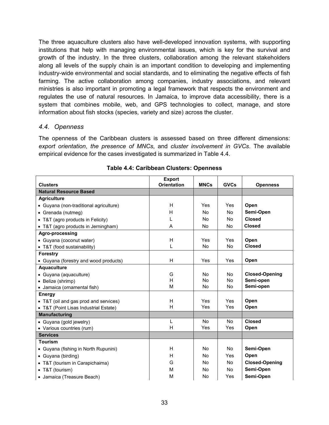The three aquaculture clusters also have well-developed innovation systems, with supporting institutions that help with managing environmental issues, which is key for the survival and growth of the industry. In the three clusters, collaboration among the relevant stakeholders along all levels of the supply chain is an important condition to developing and implementing industry-wide environmental and social standards, and to eliminating the negative effects of fish farming. The active collaboration among companies, industry associations, and relevant ministries is also important in promoting a legal framework that respects the environment and regulates the use of natural resources. In Jamaica, to improve data accessibility, there is a system that combines mobile, web, and GPS technologies to collect, manage, and store information about fish stocks (species, variety and size) across the cluster.

### <span id="page-35-0"></span>*4.4. Openness*

The openness of the Caribbean clusters is assessed based on three different dimensions: *export orientation*, *the presence of MNCs*, and *cluster involvement in GVCs*. The available empirical evidence for the cases investigated is summarized in Table 4.4.

|                                        | <b>Export</b>      |                |                |                       |
|----------------------------------------|--------------------|----------------|----------------|-----------------------|
| <b>Clusters</b>                        | <b>Orientation</b> | <b>MNCs</b>    | <b>GVCs</b>    | <b>Openness</b>       |
| <b>Natural Resource Based</b>          |                    |                |                |                       |
| <b>Agriculture</b>                     |                    |                |                |                       |
| • Guyana (non-traditional agriculture) | H                  | Yes            | <b>Yes</b>     | Open                  |
| • Grenada (nutmeg)                     | H                  | N <sub>0</sub> | <b>No</b>      | Semi-Open             |
| • T&T (agro products in Felicity)      | L                  | No             | No             | <b>Closed</b>         |
| • T&T (agro products in Jerningham)    | A                  | <b>No</b>      | N <sub>0</sub> | <b>Closed</b>         |
| Agro-processing                        |                    |                |                |                       |
| • Guyana (coconut water)               | H                  | <b>Yes</b>     | <b>Yes</b>     | Open                  |
| • T&T (food sustainability)            | L                  | <b>No</b>      | <b>No</b>      | <b>Closed</b>         |
| <b>Forestry</b>                        |                    |                |                |                       |
| • Guyana (forestry and wood products)  | H                  | Yes            | Yes            | Open                  |
| <b>Aquaculture</b>                     |                    |                |                |                       |
| • Guyana (aquaculture)                 | G                  | No             | No             | <b>Closed-Opening</b> |
| • Belize (shrimp)                      | H                  | <b>No</b>      | <b>No</b>      | Semi-open             |
| • Jamaica (ornamental fish)            | M                  | No             | <b>No</b>      | Semi-open             |
| <b>Energy</b>                          |                    |                |                |                       |
| • T&T (oil and gas prod and services)  | H                  | Yes            | <b>Yes</b>     | Open                  |
| • T&T (Point Lisas Industrial Estate)  | H                  | Yes            | Yes            | Open                  |
| <b>Manufacturing</b>                   |                    |                |                |                       |
| • Guyana (gold jewelry)                | L                  | No             | <b>No</b>      | <b>Closed</b>         |
| • Various countries (rum)              | H                  | Yes            | Yes            | Open                  |
| <b>Services</b>                        |                    |                |                |                       |
| <b>Tourism</b>                         |                    |                |                |                       |
| • Guyana (fishing in North Rupunini)   | H                  | No             | <b>No</b>      | Semi-Open             |
| • Guyana (birding)                     | H                  | No             | Yes            | Open                  |
| • T&T (tourism in Carapichaima)        | G                  | No             | <b>No</b>      | <b>Closed-Opening</b> |
| • T&T (tourism)                        | M                  | No             | No.            | Semi-Open             |
| • Jamaica (Treasure Beach)             | M                  | No             | Yes            | Semi-Open             |

|  | Table 4.4: Caribbean Clusters: Openness |  |  |
|--|-----------------------------------------|--|--|
|--|-----------------------------------------|--|--|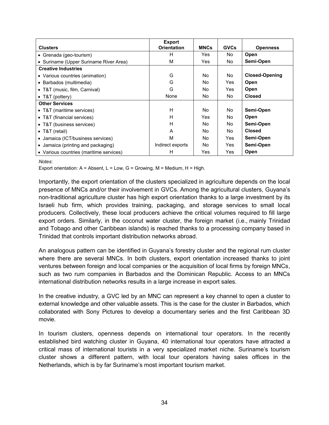| <b>Clusters</b>                         | <b>Export</b><br><b>Orientation</b> | <b>MNCs</b> | <b>GVCs</b> | <b>Openness</b>       |
|-----------------------------------------|-------------------------------------|-------------|-------------|-----------------------|
| • Grenada (geo-tourism)                 | н                                   | Yes         | No.         | Open                  |
| • Suriname (Upper Suriname River Area)  | M                                   | Yes         | No.         | Semi-Open             |
| <b>Creative Industries</b>              |                                     |             |             |                       |
| • Various countries (animation)         | G                                   | No.         | No.         | <b>Closed-Opening</b> |
| • Barbados (multimedia)                 | G                                   | No.         | Yes         | Open                  |
| • T&T (music, film, Carnival)           | G                                   | No.         | Yes.        | Open                  |
| • T&T (pottery)                         | None                                | No.         | No.         | <b>Closed</b>         |
| <b>Other Services</b>                   |                                     |             |             |                       |
| • T&T (maritime services)               | H                                   | No.         | No.         | Semi-Open             |
| • T&T (financial services)              | H                                   | Yes         | No.         | Open                  |
| • T&T (business services)               | H                                   | No.         | No.         | Semi-Open             |
| • T&T (retail)                          | A                                   | No.         | No.         | <b>Closed</b>         |
| • Jamaica (ICT/business services)       | м                                   | No.         | Yes         | Semi-Open             |
| • Jamaica (printing and packaging)      | Indirect exports                    | No.         | Yes         | Semi-Open             |
| • Various countries (maritime services) | н                                   | Yes         | Yes         | Open                  |

#### *Notes*:

Export orientation:  $A =$  Absent,  $L =$  Low,  $G =$  Growing,  $M =$  Medium,  $H =$  High.

Importantly, the export orientation of the clusters specialized in agriculture depends on the local presence of MNCs and/or their involvement in GVCs. Among the agricultural clusters, Guyana's non-traditional agriculture cluster has high export orientation thanks to a large investment by its Israeli hub firm, which provides training, packaging, and storage services to small local producers. Collectively, these local producers achieve the critical volumes required to fill large export orders. Similarly, in the coconut water cluster, the foreign market (i.e., mainly Trinidad and Tobago and other Caribbean islands) is reached thanks to a processing company based in Trinidad that controls important distribution networks abroad.

An analogous pattern can be identified in Guyana's forestry cluster and the regional rum cluster where there are several MNCs. In both clusters, export orientation increased thanks to joint ventures between foreign and local companies or the acquisition of local firms by foreign MNCs, such as two rum companies in Barbados and the Dominican Republic. Access to an MNCs international distribution networks results in a large increase in export sales.

In the creative industry, a GVC led by an MNC can represent a key channel to open a cluster to external knowledge and other valuable assets. This is the case for the cluster in Barbados, which collaborated with Sony Pictures to develop a documentary series and the first Caribbean 3D movie.

In tourism clusters, openness depends on international tour operators. In the recently established bird watching cluster in Guyana, 40 international tour operators have attracted a critical mass of international tourists in a very specialized market niche. Suriname's tourism cluster shows a different pattern, with local tour operators having sales offices in the Netherlands, which is by far Suriname's most important tourism market.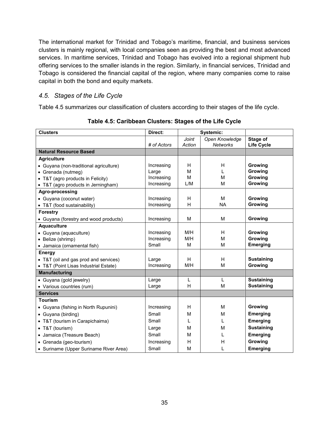The international market for Trinidad and Tobago's maritime, financial, and business services clusters is mainly regional, with local companies seen as providing the best and most advanced services. In maritime services, Trinidad and Tobago has evolved into a regional shipment hub offering services to the smaller islands in the region. Similarly, in financial services, Trinidad and Tobago is considered the financial capital of the region, where many companies come to raise capital in both the bond and equity markets.

### <span id="page-37-0"></span>*4.5. Stages of the Life Cycle*

Table 4.5 summarizes our classification of clusters according to their stages of the life cycle.

| <b>Clusters</b>                        | Direct:     |        | Systemic:       |                   |
|----------------------------------------|-------------|--------|-----------------|-------------------|
|                                        |             | Joint  | Open Knowledge  | Stage of          |
|                                        | # of Actors | Action | <b>Networks</b> | <b>Life Cycle</b> |
| <b>Natural Resource Based</b>          |             |        |                 |                   |
| <b>Agriculture</b>                     |             |        |                 |                   |
| · Guyana (non-traditional agriculture) | Increasing  | H      | H               | Growing           |
| • Grenada (nutmeg)                     | Large       | M      | L               | Growing           |
| • T&T (agro products in Felicity)      | Increasing  | M      | M               | Growing           |
| • T&T (agro products in Jerningham)    | Increasing  | L/M    | M               | Growing           |
| Agro-processing                        |             |        |                 |                   |
| · Guyana (coconut water)               | Increasing  | H      | M               | Growing           |
| • T&T (food sustainability)            | Increasing  | H      | <b>NA</b>       | Growing           |
| <b>Forestry</b>                        |             |        |                 |                   |
| • Guyana (forestry and wood products)  | Increasing  | M      | M               | Growing           |
| Aquaculture                            |             |        |                 |                   |
| · Guyana (aquaculture)                 | Increasing  | M/H    | H               | Growing           |
| • Belize (shrimp)                      | Increasing  | M/H    | M               | Growing           |
| • Jamaica (ornamental fish)            | Small       | M      | M               | <b>Emerging</b>   |
| <b>Energy</b>                          |             |        |                 |                   |
| • T&T (oil and gas prod and services)  | Large       | H      | H               | <b>Sustaining</b> |
| • T&T (Point Lisas Industrial Estate)  | Increasing  | M/H    | M               | Growing           |
| <b>Manufacturing</b>                   |             |        |                 |                   |
| • Guyana (gold jewelry)                | Large       | L      | L               | <b>Sustaining</b> |
| • Various countries (rum)              | Large       | H      | M               | <b>Sustaining</b> |
| <b>Services</b>                        |             |        |                 |                   |
| <b>Tourism</b>                         |             |        |                 |                   |
| • Guyana (fishing in North Rupunini)   | Increasing  | H      | M               | Growing           |
| • Guyana (birding)                     | Small       | M      | M               | <b>Emerging</b>   |
| • T&T (tourism in Carapichaima)        | Small       | L      | L               | <b>Emerging</b>   |
| • T&T (tourism)                        | Large       | М      | M               | <b>Sustaining</b> |
| • Jamaica (Treasure Beach)             | Small       | М      | L               | <b>Emerging</b>   |
| • Grenada (geo-tourism)                | Increasing  | H      | н               | Growing           |
| • Suriname (Upper Suriname River Area) | Small       | M      | L               | <b>Emerging</b>   |

**Table 4.5: Caribbean Clusters: Stages of the Life Cycle**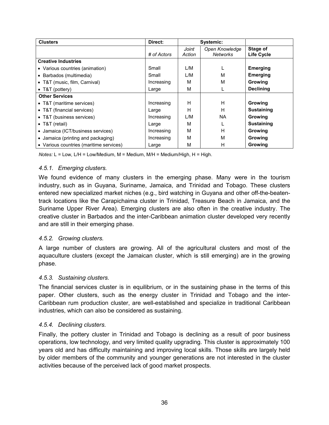| <b>Clusters</b>                         | Direct:     | Systemic:       |                                   |                               |
|-----------------------------------------|-------------|-----------------|-----------------------------------|-------------------------------|
|                                         | # of Actors | Joint<br>Action | Open Knowledge<br><b>Networks</b> | Stage of<br><b>Life Cycle</b> |
| <b>Creative Industries</b>              |             |                 |                                   |                               |
| • Various countries (animation)         | Small       | L/M             |                                   | <b>Emerging</b>               |
| • Barbados (multimedia)                 | Small       | L/M             | м                                 | <b>Emerging</b>               |
| • T&T (music, film, Carnival)           | Increasing  | M               | М                                 | Growing                       |
| • T&T (pottery)                         | Large       | M               |                                   | <b>Declining</b>              |
| <b>Other Services</b>                   |             |                 |                                   |                               |
| • T&T (maritime services)               | Increasing  | H               | н                                 | Growing                       |
| • T&T (financial services)              | Large       | H               | н                                 | <b>Sustaining</b>             |
| • T&T (business services)               | Increasing  | L/M             | <b>NA</b>                         | Growing                       |
| • T&T (retail)                          | Large       | M               |                                   | <b>Sustaining</b>             |
| • Jamaica (ICT/business services)       | Increasing  | M               | н                                 | Growing                       |
| • Jamaica (printing and packaging)      | Increasing  | M               | М                                 | <b>Growing</b>                |
| • Various countries (maritime services) | Large       | M               | н                                 | Growing                       |

*Notes:* L = Low, L/H = Low/Medium, M = Medium, M/H = Medium/High, H = High.

### <span id="page-38-0"></span>*4.5.1. Emerging clusters.*

We found evidence of many clusters in the emerging phase. Many were in the tourism industry, such as in Guyana, Suriname, Jamaica, and Trinidad and Tobago. These clusters entered new specialized market niches (e.g., bird watching in Guyana and other off-the-beatentrack locations like the Carapichaima cluster in Trinidad, Treasure Beach in Jamaica, and the Suriname Upper River Area). Emerging clusters are also often in the creative industry. The creative cluster in Barbados and the inter-Caribbean animation cluster developed very recently and are still in their emerging phase.

### <span id="page-38-1"></span>*4.5.2. Growing clusters.*

A large number of clusters are growing. All of the agricultural clusters and most of the aquaculture clusters (except the Jamaican cluster, which is still emerging) are in the growing phase.

### <span id="page-38-2"></span>*4.5.3. Sustaining clusters.*

The financial services cluster is in equilibrium, or in the sustaining phase in the terms of this paper. Other clusters, such as the energy cluster in Trinidad and Tobago and the inter-Caribbean rum production cluster, are well-established and specialize in traditional Caribbean industries, which can also be considered as sustaining.

### <span id="page-38-3"></span>*4.5.4. Declining clusters.*

Finally, the pottery cluster in Trinidad and Tobago is declining as a result of poor business operations, low technology, and very limited quality upgrading. This cluster is approximately 100 years old and has difficulty maintaining and improving local skills. Those skills are largely held by older members of the community and younger generations are not interested in the cluster activities because of the perceived lack of good market prospects.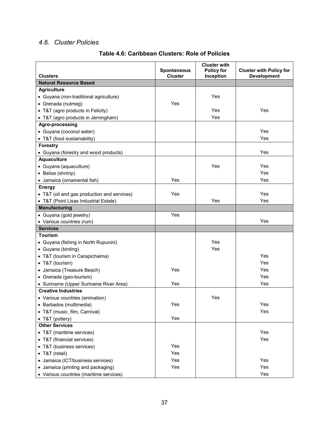### <span id="page-39-0"></span>*4.6. Cluster Policies*

| <b>Clusters</b>                             | <b>Spontaneous</b><br><b>Cluster</b> | <b>Cluster with</b><br><b>Policy for</b><br>Inception | <b>Cluster with Policy for</b><br><b>Development</b> |
|---------------------------------------------|--------------------------------------|-------------------------------------------------------|------------------------------------------------------|
| <b>Natural Resource Based</b>               |                                      |                                                       |                                                      |
| <b>Agriculture</b>                          |                                      |                                                       |                                                      |
| · Guyana (non-traditional agriculture)      |                                      | Yes                                                   |                                                      |
| • Grenada (nutmeg)                          | Yes                                  |                                                       |                                                      |
| • T&T (agro products in Felicity)           |                                      | Yes                                                   | Yes                                                  |
| • T&T (agro products in Jerningham)         |                                      | Yes                                                   |                                                      |
| Agro-processing                             |                                      |                                                       |                                                      |
| • Guyana (coconut water)                    |                                      |                                                       | Yes                                                  |
| • T&T (food sustainability)                 |                                      |                                                       | Yes                                                  |
| <b>Forestry</b>                             |                                      |                                                       |                                                      |
| • Guyana (forestry and wood products)       |                                      |                                                       | Yes                                                  |
| <b>Aquaculture</b>                          |                                      |                                                       |                                                      |
| • Guyana (aquaculture)                      |                                      | Yes                                                   | Yes                                                  |
| • Belize (shrimp)                           |                                      |                                                       | Yes                                                  |
| · Jamaica (ornamental fish)                 | Yes                                  |                                                       | Yes                                                  |
| <b>Energy</b>                               |                                      |                                                       |                                                      |
| • T&T (oil and gas production and services) | Yes                                  |                                                       | Yes                                                  |
| • T&T (Point Lisas Industrial Estate)       |                                      | Yes                                                   | Yes                                                  |
| <b>Manufacturing</b>                        |                                      |                                                       |                                                      |
| • Guyana (gold jewelry)                     | Yes                                  |                                                       |                                                      |
| • Various countries (rum)                   |                                      |                                                       | Yes                                                  |
| <b>Services</b>                             |                                      |                                                       |                                                      |
| Tourism                                     |                                      |                                                       |                                                      |
| • Guyana (fishing in North Rupunini)        |                                      | Yes                                                   |                                                      |
| • Guyana (birding)                          |                                      | Yes                                                   |                                                      |
| • T&T (tourism in Carapichaima)             |                                      |                                                       | Yes                                                  |
| • T&T (tourism)                             |                                      |                                                       | Yes                                                  |
| • Jamaica (Treasure Beach)                  | Yes                                  |                                                       | Yes                                                  |
| • Grenada (geo-tourism)                     |                                      |                                                       | Yes                                                  |
| • Suriname (Upper Suriname River Area)      | Yes                                  |                                                       | Yes                                                  |
| <b>Creative Industries</b>                  |                                      |                                                       |                                                      |
| • Various countries (animation)             |                                      | Yes                                                   |                                                      |
| • Barbados (multimedia)                     | Yes                                  |                                                       | Yes                                                  |
| • T&T (music, film, Carnival)               |                                      |                                                       | Yes                                                  |
| • T&T (pottery)                             | Yes                                  |                                                       |                                                      |
| <b>Other Services</b>                       |                                      |                                                       |                                                      |
| • T&T (maritime services)                   |                                      |                                                       | Yes                                                  |
| • T&T (financial services)                  |                                      |                                                       | Yes                                                  |
| • T&T (business services)                   | Yes                                  |                                                       |                                                      |
| • T&T (retail)                              | Yes                                  |                                                       |                                                      |
| • Jamaica (ICT/business services)           | Yes                                  |                                                       | Yes                                                  |
| • Jamaica (printing and packaging)          | Yes                                  |                                                       | Yes                                                  |
| • Various countries (maritime services)     |                                      |                                                       | Yes                                                  |

### **Table 4.6: Caribbean Clusters: Role of Policies**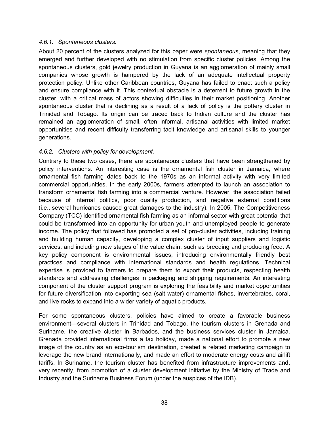### <span id="page-40-0"></span>*4.6.1. Spontaneous clusters.*

About 20 percent of the clusters analyzed for this paper were *spontaneous*, meaning that they emerged and further developed with no stimulation from specific cluster policies. Among the spontaneous clusters, gold jewelry production in Guyana is an agglomeration of mainly small companies whose growth is hampered by the lack of an adequate intellectual property protection policy. Unlike other Caribbean countries, Guyana has failed to enact such a policy and ensure compliance with it. This contextual obstacle is a deterrent to future growth in the cluster, with a critical mass of actors showing difficulties in their market positioning. Another spontaneous cluster that is declining as a result of a lack of policy is the pottery cluster in Trinidad and Tobago. Its origin can be traced back to Indian culture and the cluster has remained an agglomeration of small, often informal, artisanal activities with limited market opportunities and recent difficulty transferring tacit knowledge and artisanal skills to younger generations.

### <span id="page-40-1"></span>*4.6.2. Clusters with policy for development.*

Contrary to these two cases, there are spontaneous clusters that have been strengthened by policy interventions. An interesting case is the ornamental fish cluster in Jamaica, where ornamental fish farming dates back to the 1970s as an informal activity with very limited commercial opportunities. In the early 2000s, farmers attempted to launch an association to transform ornamental fish farming into a commercial venture. However, the association failed because of internal politics, poor quality production, and negative external conditions (i.e., several hurricanes caused great damages to the industry). In 2005, The Competitiveness Company (TCC) identified ornamental fish farming as an informal sector with great potential that could be transformed into an opportunity for urban youth and unemployed people to generate income. The policy that followed has promoted a set of pro-cluster activities, including training and building human capacity, developing a complex cluster of input suppliers and logistic services, and including new stages of the value chain, such as breeding and producing feed. A key policy component is environmental issues, introducing environmentally friendly best practices and compliance with international standards and health regulations. Technical expertise is provided to farmers to prepare them to export their products, respecting health standards and addressing challenges in packaging and shipping requirements. An interesting component of the cluster support program is exploring the feasibility and market opportunities for future diversification into exporting sea (salt water) ornamental fishes, invertebrates, coral, and live rocks to expand into a wider variety of aquatic products.

For some spontaneous clusters, policies have aimed to create a favorable business environment—several clusters in Trinidad and Tobago, the tourism clusters in Grenada and Suriname, the creative cluster in Barbados, and the business services cluster in Jamaica. Grenada provided international firms a tax holiday, made a national effort to promote a new image of the country as an eco-tourism destination, created a related marketing campaign to leverage the new brand internationally, and made an effort to moderate energy costs and airlift tariffs. In Suriname, the tourism cluster has benefited from infrastructure improvements and, very recently, from promotion of a cluster development initiative by the Ministry of Trade and Industry and the Suriname Business Forum (under the auspices of the IDB).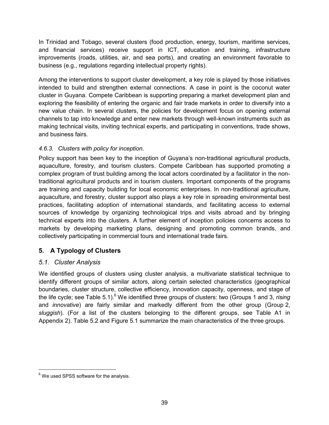In Trinidad and Tobago, several clusters (food production, energy, tourism, maritime services, and financial services) receive support in ICT, education and training, infrastructure improvements (roads, utilities, air, and sea ports), and creating an environment favorable to business (e.g., regulations regarding intellectual property rights).

Among the interventions to support cluster development, a key role is played by those initiatives intended to build and strengthen external connections. A case in point is the coconut water cluster in Guyana. Compete Caribbean is supporting preparing a market development plan and exploring the feasibility of entering the organic and fair trade markets in order to diversify into a new value chain. In several clusters, the policies for development focus on opening external channels to tap into knowledge and enter new markets through well-known instruments such as making technical visits, inviting technical experts, and participating in conventions, trade shows, and business fairs.

### <span id="page-41-0"></span>*4.6.3. Clusters with policy for inception.*

Policy support has been key to the inception of Guyana's non-traditional agricultural products, aquaculture, forestry, and tourism clusters. Compete Caribbean has supported promoting a complex program of trust building among the local actors coordinated by a facilitator in the nontraditional agricultural products and in tourism clusters. Important components of the programs are training and capacity building for local economic enterprises. In non-traditional agriculture, aquaculture, and forestry, cluster support also plays a key role in spreading environmental best practices, facilitating adoption of international standards, and facilitating access to external sources of knowledge by organizing technological trips and visits abroad and by bringing technical experts into the clusters. A further element of inception policies concerns access to markets by developing marketing plans, designing and promoting common brands, and collectively participating in commercial tours and international trade fairs.

## <span id="page-41-1"></span>**5. A Typology of Clusters**

### <span id="page-41-2"></span>*5.1. Cluster Analysis*

We identified groups of clusters using cluster analysis, a multivariate statistical technique to identify different groups of similar actors, along certain selected characteristics (geographical boundaries, cluster structure, collective efficiency, innovation capacity, openness, and stage of the life cycle; see Table 5.1).<sup>6</sup> We identified three groups of clusters: two (Groups 1 and 3, *rising* and *innovative*) are fairly similar and markedly different from the other group (Group 2, *sluggish*). (For a list of the clusters belonging to the different groups, see Table A1 in Appendix 2). Table 5.2 and Figure 5.1 summarize the main characteristics of the three groups.

 $\overline{a}$ 

 $<sup>6</sup>$  We used SPSS software for the analysis.</sup>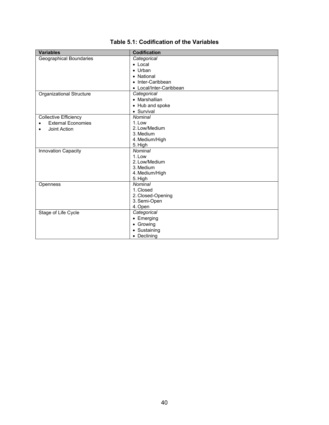| Categorical             |
|-------------------------|
| • Local                 |
| $\bullet$ Urban         |
| • National              |
| • Inter-Caribbean       |
| • Local/Inter-Caribbean |
| Categorical             |
| • Marshallian           |
| • Hub and spoke         |
| • Survival              |
| Nominal                 |
| 1. Low                  |
| 2. Low/Medium           |
| 3. Medium               |
| 4. Medium/High          |
| 5. High                 |
| <b>Nominal</b>          |
| 1. Low                  |
| 2. Low/Medium           |
| 3. Medium               |
| 4. Medium/High          |
| 5. High<br>Nominal      |
| 1. Closed               |
| 2. Closed-Opening       |
| 3. Semi-Open            |
| 4. Open                 |
| Categorical             |
| • Emerging              |
| • Growing               |
| • Sustaining            |
| • Declining             |
|                         |

### **Table 5.1: Codification of the Variables**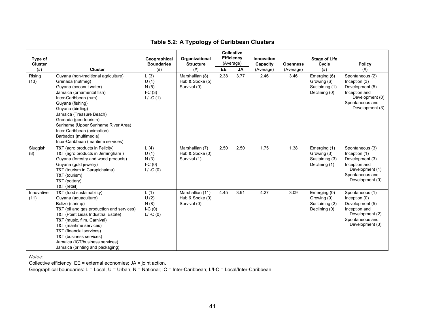### **Table 5.2: A Typology of Caribbean Clusters**

| Type of                |                                                                                                                                                                                                                                                                                                                                                                              | Geographical                                   | Organizational                                      |           | Collective<br><b>Efficiency</b><br>(Average) | Innovation            |                              | <b>Stage of Life</b>                                           |                                                                                                                               |
|------------------------|------------------------------------------------------------------------------------------------------------------------------------------------------------------------------------------------------------------------------------------------------------------------------------------------------------------------------------------------------------------------------|------------------------------------------------|-----------------------------------------------------|-----------|----------------------------------------------|-----------------------|------------------------------|----------------------------------------------------------------|-------------------------------------------------------------------------------------------------------------------------------|
| <b>Cluster</b><br>(# ) | <b>Cluster</b>                                                                                                                                                                                                                                                                                                                                                               | <b>Boundaries</b><br>$(\#)$                    | <b>Structure</b><br>(# )                            | <b>EE</b> | JA                                           | Capacity<br>(Average) | <b>Openness</b><br>(Average) | Cycle<br>(# )                                                  | <b>Policy</b><br>(# )                                                                                                         |
| Rising<br>(13)         | Guyana (non-traditional agriculture)<br>Grenada (nutmeg)<br>Guyana (coconut water)<br>Jamaica (ornamental fish)<br>Inter-Caribbean (rum)<br>Guyana (fishing)<br>Guyana (birding)<br>Jamaica (Treasure Beach)<br>Grenada (geo-tourism)<br>Suriname (Upper Suriname River Area)<br>Inter-Caribbean (animation)<br>Barbados (multimedia)<br>Inter-Caribbean (maritime services) | L(3)<br>U(1)<br>N(5)<br>$I-C(3)$<br>$L/I-C(1)$ | Marshallian (8)<br>Hub & Spoke (5)<br>Survival (0)  | 2.38      | 3.77                                         | 2.46                  | 3.46                         | Emerging (6)<br>Growing (6)<br>Sustaining (1)<br>Declining (0) | Spontaneous (2)<br>Inception (3)<br>Development (5)<br>Inception and<br>Development (0)<br>Spontaneous and<br>Development (3) |
| Sluggish<br>(8)        | T&T (agro products in Felicity)<br>T&T (agro products in Jerningham)<br>Guyana (forestry and wood products)<br>Guyana (gold jewelry)<br>T&T (tourism in Carapichaima)<br>T&T (tourism)<br>T&T (pottery)<br>T&T (retail)                                                                                                                                                      | L(4)<br>U(1)<br>N(3)<br>$I-C(0)$<br>$L/I-C(0)$ | Marshallian (7)<br>Hub & Spoke (0)<br>Survival (1)  | 2.50      | 2.50                                         | 1.75                  | 1.38                         | Emerging (1)<br>Growing (3)<br>Sustaining (3)<br>Declining (1) | Spontaneous (3)<br>Inception (1)<br>Development (3)<br>Inception and<br>Development (1)<br>Spontaneous and<br>Development (0) |
| Innovative<br>(11)     | T&T (food sustainability)<br>Guyana (aquaculture)<br>Belize (shrimp)<br>T&T (oil and gas production and services)<br>T&T (Point Lisas Industrial Estate)<br>T&T (music, film, Carnival)<br>T&T (maritime services)<br>T&T (financial services)<br>T&T (business services)<br>Jamaica (ICT/business services)<br>Jamaica (printing and packaging)                             | L(1)<br>U(2)<br>N(8)<br>$I-C(0)$<br>$L/I-C(0)$ | Marshallian (11)<br>Hub & Spoke (0)<br>Survival (0) | 4.45      | 3.91                                         | 4.27                  | 3.09                         | Emerging (0)<br>Growing (9)<br>Sustaining (2)<br>Declining (0) | Spontaneous (1)<br>Inception (0)<br>Development (5)<br>Inception and<br>Development (2)<br>Spontaneous and<br>Development (3) |

*Notes:* 

Collective efficiency: EE = external economies; JA = joint action.

Geographical boundaries: L = Local; U = Urban; N = National; IC = Inter-Caribbean; L/I-C = Local/Inter-Caribbean.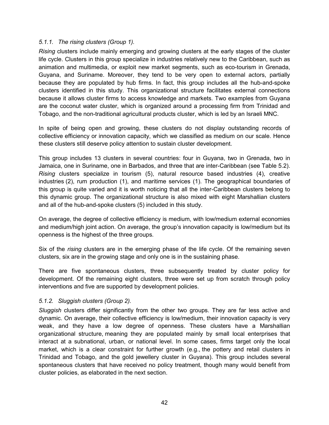### <span id="page-44-0"></span>*5.1.1. The rising clusters (Group 1).*

*Rising* clusters include mainly emerging and growing clusters at the early stages of the cluster life cycle. Clusters in this group specialize in industries relatively new to the Caribbean, such as animation and multimedia, or exploit new market segments, such as eco-tourism in Grenada, Guyana, and Suriname. Moreover, they tend to be very open to external actors, partially because they are populated by hub firms. In fact, this group includes all the hub-and-spoke clusters identified in this study. This organizational structure facilitates external connections because it allows cluster firms to access knowledge and markets. Two examples from Guyana are the coconut water cluster, which is organized around a processing firm from Trinidad and Tobago, and the non-traditional agricultural products cluster, which is led by an Israeli MNC.

In spite of being open and growing, these clusters do not display outstanding records of collective efficiency or innovation capacity, which we classified as medium on our scale. Hence these clusters still deserve policy attention to sustain cluster development.

This group includes 13 clusters in several countries: four in Guyana, two in Grenada, two in Jamaica, one in Suriname, one in Barbados, and three that are inter-Caribbean (see Table 5.2). *Rising* clusters specialize in tourism (5), natural resource based industries (4), creative industries (2), rum production (1), and maritime services (1). The geographical boundaries of this group is quite varied and it is worth noticing that all the inter-Caribbean clusters belong to this dynamic group. The organizational structure is also mixed with eight Marshallian clusters and all of the hub-and-spoke clusters (5) included in this study.

On average, the degree of collective efficiency is medium, with low/medium external economies and medium/high joint action. On average, the group's innovation capacity is low/medium but its openness is the highest of the three groups.

Six of the *rising* clusters are in the emerging phase of the life cycle. Of the remaining seven clusters, six are in the growing stage and only one is in the sustaining phase.

There are five spontaneous clusters, three subsequently treated by cluster policy for development. Of the remaining eight clusters, three were set up from scratch through policy interventions and five are supported by development policies.

### <span id="page-44-1"></span>*5.1.2. Sluggish clusters (Group 2).*

*Sluggish* clusters differ significantly from the other two groups. They are far less active and dynamic. On average, their collective efficiency is low/medium, their innovation capacity is very weak, and they have a low degree of openness. These clusters have a Marshallian organizational structure, meaning they are populated mainly by small local enterprises that interact at a subnational, urban, or national level. In some cases, firms target only the local market, which is a clear constraint for further growth (e.g., the pottery and retail clusters in Trinidad and Tobago, and the gold jewellery cluster in Guyana). This group includes several spontaneous clusters that have received no policy treatment, though many would benefit from cluster policies, as elaborated in the next section.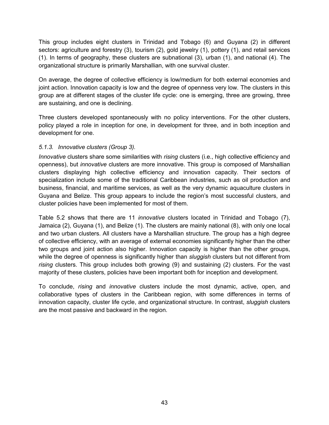This group includes eight clusters in Trinidad and Tobago (6) and Guyana (2) in different sectors: agriculture and forestry (3), tourism (2), gold jewelry (1), pottery (1), and retail services (1). In terms of geography, these clusters are subnational (3), urban (1), and national (4). The organizational structure is primarily Marshallian, with one survival cluster.

On average, the degree of collective efficiency is low/medium for both external economies and joint action. Innovation capacity is low and the degree of openness very low. The clusters in this group are at different stages of the cluster life cycle: one is emerging, three are growing, three are sustaining, and one is declining.

Three clusters developed spontaneously with no policy interventions. For the other clusters, policy played a role in inception for one, in development for three, and in both inception and development for one.

### <span id="page-45-0"></span>*5.1.3. Innovative clusters (Group 3).*

*Innovative* clusters share some similarities with *rising* clusters (i.e., high collective efficiency and openness), but *innovative* clusters are more innovative. This group is composed of Marshallian clusters displaying high collective efficiency and innovation capacity. Their sectors of specialization include some of the traditional Caribbean industries, such as oil production and business, financial, and maritime services, as well as the very dynamic aquaculture clusters in Guyana and Belize. This group appears to include the region's most successful clusters, and cluster policies have been implemented for most of them.

Table 5.2 shows that there are 11 *innovative* clusters located in Trinidad and Tobago (7), Jamaica (2), Guyana (1), and Belize (1). The clusters are mainly national (8), with only one local and two urban clusters. All clusters have a Marshallian structure. The group has a high degree of collective efficiency, with an average of external economies significantly higher than the other two groups and joint action also higher. Innovation capacity is higher than the other groups, while the degree of openness is significantly higher than *sluggish* clusters but not different from *rising* clusters. This group includes both growing (9) and sustaining (2) clusters. For the vast majority of these clusters, policies have been important both for inception and development.

To conclude, *rising* and *innovative* clusters include the most dynamic, active, open, and collaborative types of clusters in the Caribbean region, with some differences in terms of innovation capacity, cluster life cycle, and organizational structure. In contrast, *sluggish* clusters are the most passive and backward in the region.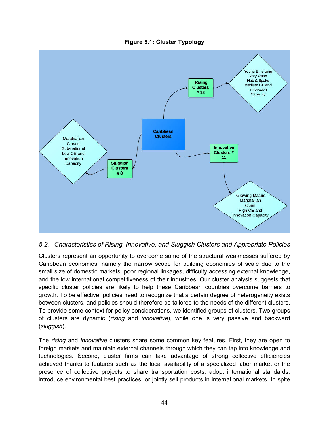**Figure 5.1: Cluster Typology** 



### <span id="page-46-0"></span>*5.2. Characteristics of Rising, Innovative, and Sluggish Clusters and Appropriate Policies*

Clusters represent an opportunity to overcome some of the structural weaknesses suffered by Caribbean economies, namely the narrow scope for building economies of scale due to the small size of domestic markets, poor regional linkages, difficulty accessing external knowledge, and the low international competitiveness of their industries. Our cluster analysis suggests that specific cluster policies are likely to help these Caribbean countries overcome barriers to growth. To be effective, policies need to recognize that a certain degree of heterogeneity exists between clusters, and policies should therefore be tailored to the needs of the different clusters. To provide some context for policy considerations, we identified groups of clusters. Two groups of clusters are dynamic (*rising* and *innovative*), while one is very passive and backward (*sluggish*).

The *rising* and *innovative* clusters share some common key features. First, they are open to foreign markets and maintain external channels through which they can tap into knowledge and technologies. Second, cluster firms can take advantage of strong collective efficiencies achieved thanks to features such as the local availability of a specialized labor market or the presence of collective projects to share transportation costs, adopt international standards, introduce environmental best practices, or jointly sell products in international markets. In spite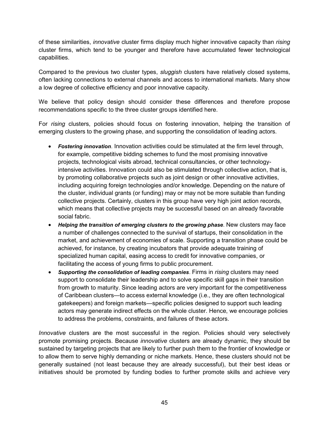of these similarities, *innovative* cluster firms display much higher innovative capacity than *rising*  cluster firms, which tend to be younger and therefore have accumulated fewer technological capabilities.

Compared to the previous two cluster types, *sluggish* clusters have relatively closed systems, often lacking connections to external channels and access to international markets. Many show a low degree of collective efficiency and poor innovative capacity.

We believe that policy design should consider these differences and therefore propose recommendations specific to the three cluster groups identified here.

For *rising* clusters, policies should focus on fostering innovation, helping the transition of emerging clusters to the growing phase, and supporting the consolidation of leading actors.

- *Fostering innovation*. Innovation activities could be stimulated at the firm level through, for example, competitive bidding schemes to fund the most promising innovative projects, technological visits abroad, technical consultancies, or other technologyintensive activities. Innovation could also be stimulated through collective action, that is, by promoting collaborative projects such as joint design or other innovative activities, including acquiring foreign technologies and/or knowledge. Depending on the nature of the cluster, individual grants (or funding) may or may not be more suitable than funding collective projects. Certainly, clusters in this group have very high joint action records, which means that collective projects may be successful based on an already favorable social fabric.
- Helping the transition of emerging clusters to the growing phase. New clusters may face a number of challenges connected to the survival of startups, their consolidation in the market, and achievement of economies of scale. Supporting a transition phase could be achieved, for instance, by creating incubators that provide adequate training of specialized human capital, easing access to credit for innovative companies, or facilitating the access of young firms to public procurement.
- *Supporting the consolidation of leading companies*. Firms in *rising* clusters may need support to consolidate their leadership and to solve specific skill gaps in their transition from growth to maturity. Since leading actors are very important for the competitiveness of Caribbean clusters—to access external knowledge (i.e., they are often technological gatekeepers) and foreign markets—specific policies designed to support such leading actors may generate indirect effects on the whole cluster. Hence, we encourage policies to address the problems, constraints, and failures of these actors.

*Innovative* clusters are the most successful in the region. Policies should very selectively promote promising projects. Because *innovative* clusters are already dynamic, they should be sustained by targeting projects that are likely to further push them to the frontier of knowledge or to allow them to serve highly demanding or niche markets. Hence, these clusters should not be generally sustained (not least because they are already successful), but their best ideas or initiatives should be promoted by funding bodies to further promote skills and achieve very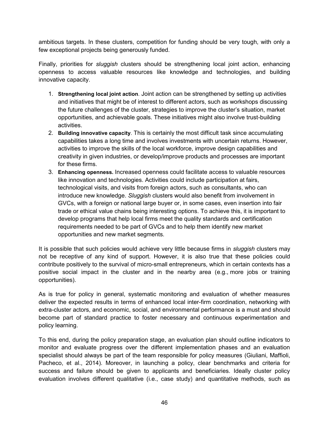ambitious targets. In these clusters, competition for funding should be very tough, with only a few exceptional projects being generously funded.

Finally, priorities for *sluggish* clusters should be strengthening local joint action, enhancing openness to access valuable resources like knowledge and technologies, and building innovative capacity.

- 1. **Strengthening local joint action***.* Joint action can be strengthened by setting up activities and initiatives that might be of interest to different actors, such as workshops discussing the future challenges of the cluster, strategies to improve the cluster's situation, market opportunities, and achievable goals. These initiatives might also involve trust-building activities.
- 2. **Building innovative capacity**. This is certainly the most difficult task since accumulating capabilities takes a long time and involves investments with uncertain returns. However, activities to improve the skills of the local workforce, improve design capabilities and creativity in given industries, or develop/improve products and processes are important for these firms.
- 3. **Enhancing openness.** Increased openness could facilitate access to valuable resources like innovation and technologies. Activities could include participation at fairs, technological visits, and visits from foreign actors, such as consultants, who can introduce new knowledge. *Sluggish* clusters would also benefit from involvement in GVCs, with a foreign or national large buyer or, in some cases, even insertion into fair trade or ethical value chains being interesting options. To achieve this, it is important to develop programs that help local firms meet the quality standards and certification requirements needed to be part of GVCs and to help them identify new market opportunities and new market segments.

It is possible that such policies would achieve very little because firms in *sluggish* clusters may not be receptive of any kind of support. However, it is also true that these policies could contribute positively to the survival of micro-small entrepreneurs, which in certain contexts has a positive social impact in the cluster and in the nearby area (e.g., more jobs or training opportunities).

As is true for policy in general, systematic monitoring and evaluation of whether measures deliver the expected results in terms of enhanced local inter-firm coordination, networking with extra-cluster actors, and economic, social, and environmental performance is a must and should become part of standard practice to foster necessary and continuous experimentation and policy learning.

To this end, during the policy preparation stage, an evaluation plan should outline indicators to monitor and evaluate progress over the different implementation phases and an evaluation specialist should always be part of the team responsible for policy measures (Giuliani, Maffioli, Pacheco, et al., 2014). Moreover, in launching a policy, clear benchmarks and criteria for success and failure should be given to applicants and beneficiaries. Ideally cluster policy evaluation involves different qualitative (i.e., case study) and quantitative methods, such as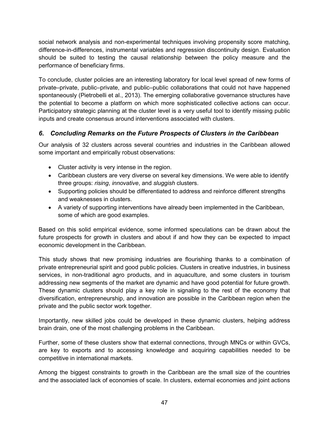social network analysis and non-experimental techniques involving propensity score matching, difference-in-differences, instrumental variables and regression discontinuity design. Evaluation should be suited to testing the causal relationship between the policy measure and the performance of beneficiary firms.

To conclude, cluster policies are an interesting laboratory for local level spread of new forms of private–private, public–private, and public–public collaborations that could not have happened spontaneously (Pietrobelli et al., 2013). The emerging collaborative governance structures have the potential to become a platform on which more sophisticated collective actions can occur. Participatory strategic planning at the cluster level is a very useful tool to identify missing public inputs and create consensus around interventions associated with clusters.

### <span id="page-49-0"></span>*6. Concluding Remarks on the Future Prospects of Clusters in the Caribbean*

Our analysis of 32 clusters across several countries and industries in the Caribbean allowed some important and empirically robust observations:

- Cluster activity is very intense in the region.
- Caribbean clusters are very diverse on several key dimensions. We were able to identify three groups: *rising*, *innovative*, and *sluggish* clusters.
- Supporting policies should be differentiated to address and reinforce different strengths and weaknesses in clusters.
- A variety of supporting interventions have already been implemented in the Caribbean, some of which are good examples.

Based on this solid empirical evidence, some informed speculations can be drawn about the future prospects for growth in clusters and about if and how they can be expected to impact economic development in the Caribbean.

This study shows that new promising industries are flourishing thanks to a combination of private entrepreneurial spirit and good public policies. Clusters in creative industries, in business services, in non-traditional agro products, and in aquaculture, and some clusters in tourism addressing new segments of the market are dynamic and have good potential for future growth. These dynamic clusters should play a key role in signaling to the rest of the economy that diversification, entrepreneurship, and innovation are possible in the Caribbean region when the private and the public sector work together.

Importantly, new skilled jobs could be developed in these dynamic clusters, helping address brain drain, one of the most challenging problems in the Caribbean.

Further, some of these clusters show that external connections, through MNCs or within GVCs, are key to exports and to accessing knowledge and acquiring capabilities needed to be competitive in international markets.

Among the biggest constraints to growth in the Caribbean are the small size of the countries and the associated lack of economies of scale. In clusters, external economies and joint actions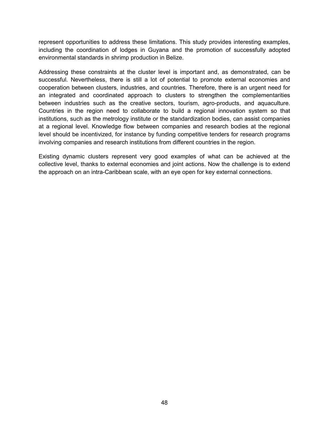represent opportunities to address these limitations. This study provides interesting examples, including the coordination of lodges in Guyana and the promotion of successfully adopted environmental standards in shrimp production in Belize.

Addressing these constraints at the cluster level is important and, as demonstrated, can be successful. Nevertheless, there is still a lot of potential to promote external economies and cooperation between clusters, industries, and countries. Therefore, there is an urgent need for an integrated and coordinated approach to clusters to strengthen the complementarities between industries such as the creative sectors, tourism, agro-products, and aquaculture. Countries in the region need to collaborate to build a regional innovation system so that institutions, such as the metrology institute or the standardization bodies, can assist companies at a regional level. Knowledge flow between companies and research bodies at the regional level should be incentivized, for instance by funding competitive tenders for research programs involving companies and research institutions from different countries in the region.

Existing dynamic clusters represent very good examples of what can be achieved at the collective level, thanks to external economies and joint actions. Now the challenge is to extend the approach on an intra-Caribbean scale, with an eye open for key external connections.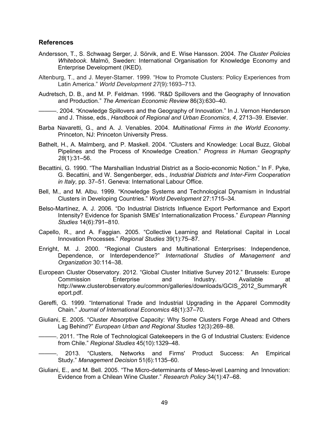### <span id="page-51-0"></span>**References**

- Andersson, T., S. Schwaag Serger, J. Sörvik, and E. Wise Hansson. 2004. *The Cluster Policies Whitebook*. Malmӧ, Sweden: International Organisation for Knowledge Economy and Enterprise Development (IKED).
- Altenburg, T., and J. Meyer-Stamer. 1999. "How to Promote Clusters: Policy Experiences from Latin America." *World Development 27*(9):1693–713.
- Audretsch, D. B., and M. P. Feldman. 1996. "R&D Spillovers and the Geography of Innovation and Production." *The American Economic Review* 86(3):630–40.
- ———. 2004. "Knowledge Spillovers and the Geography of Innovation." In J. Vernon Henderson and J. Thisse, eds., *Handbook of Regional and Urban Economics*, *4*, 2713–39. Elsevier.
- Barba Navaretti, G., and A. J. Venables. 2004. *Multinational Firms in the World Economy*. Princeton, NJ: Princeton University Press.
- Bathelt, H., A. Malmberg, and P. Maskell. 2004. "Clusters and Knowledge: Local Buzz, Global Pipelines and the Process of Knowledge Creation." *Progress in Human Geography 28*(1):31–56.
- Becattini, G. 1990. "The Marshallian Industrial District as a Socio-economic Notion." In F. Pyke, G. Becattini, and W. Sengenberger, eds., *Industrial Districts and Inter-Firm Cooperation in Italy*, pp. 37–51. Geneva: International Labour Office.
- Bell, M., and M. Albu. 1999. "Knowledge Systems and Technological Dynamism in Industrial Clusters in Developing Countries." *World Development* 27:1715–34.
- Belso-Martínez, A. J. 2006. "Do Industrial Districts Influence Export Performance and Export Intensity? Evidence for Spanish SMEs' Internationalization Process." *European Planning Studies* 14(6):791–810.
- Capello, R., and A. Faggian. 2005. "Collective Learning and Relational Capital in Local Innovation Processes." *Regional Studies* 39(1):75–87.
- Enright, M. J. 2000. "Regional Clusters and Multinational Enterprises: Independence, Dependence, or Interdependence?" *International Studies of Management and Organization* 30:114–38.
- European Cluster Observatory. 2012. "Global Cluster Initiative Survey 2012." Brussels: Europe Commission Enterprise and Industry. Available http://www.clusterobservatory.eu/common/galleries/downloads/GCIS\_2012\_SummaryR eport.pdf.
- Gereffi, G. 1999. "International Trade and Industrial Upgrading in the Apparel Commodity Chain." *Journal of International Economics* 48(1):37–70.
- Giuliani, E. 2005. "Cluster Absorptive Capacity: Why Some Clusters Forge Ahead and Others Lag Behind?" *European Urban and Regional Studies* 12(3):269–88.
- ———. 2011. "The Role of Technological Gatekeepers in the G of Industrial Clusters: Evidence from Chile." *Regional Studies* 45(10):1329–48.
	- ———. 2013. "Clusters, Networks and Firms' Product Success: An Empirical Study." *Management Decision* 51(6):1135–60.
- Giuliani, E., and M. Bell. 2005. "The Micro-determinants of Meso-level Learning and Innovation: Evidence from a Chilean Wine Cluster." *Research Policy* 34(1):47–68.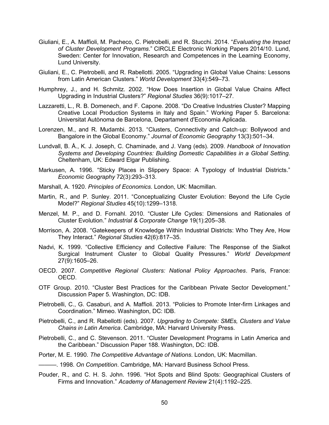- Giuliani, E., A. Maffioli, M. Pacheco, C. Pietrobelli, and R. Stucchi. 2014. "*[Evaluating the Impact](http://ideas.repec.org/p/hhs/lucirc/2014_010.html)  [of Cluster Development Programs](http://ideas.repec.org/p/hhs/lucirc/2014_010.html)*." [CIRCLE Electronic Working Papers](http://ideas.repec.org/s/hhs/lucirc.html) 2014/10. Lund, Sweden: Center for Innovation, Research and Competences in the Learning Economy, Lund University.
- Giuliani, E., C. Pietrobelli, and R. Rabellotti. 2005. "Upgrading in Global Value Chains: Lessons from Latin American Clusters." *World Development* 33(4):549–73.
- Humphrey, J., and H. Schmitz. 2002. "How Does Insertion in Global Value Chains Affect Upgrading in Industrial Clusters?" *Regional Studies* 36(9):1017–27.
- Lazzaretti, L., R. B. Domenech, and F. Capone. 2008. "Do Creative Industries Cluster? Mapping Creative Local Production Systems in Italy and Spain." Working Paper 5. Barcelona: Universitat Autònoma de Barcelona, Departament d'Economia Aplicada.
- Lorenzen, M., and R. Mudambi. 2013. "Clusters, Connectivity and Catch-up: Bollywood and Bangalore in the Global Economy." *Journal of Economic Geography* 13(3):501–34.
- Lundvall, B. Å., K. J. Joseph, C. Chaminade, and J. Vang (eds). 2009. *Handbook of Innovation Systems and Developing Countries: Building Domestic Capabilities in a Global Setting*. Cheltenham, UK: Edward Elgar Publishing.
- Markusen, A. 1996. "Sticky Places in Slippery Space: A Typology of Industrial Districts." *Economic Geography* 72(3):293–313.
- Marshall, A. 1920. *Principles of Economics*. London, UK: Macmillan.
- Martin, R., and P. Sunley. 2011. "Conceptualizing Cluster Evolution: Beyond the Life Cycle Model?" *Regional Studies* 45(10):1299–1318.
- Menzel, M. P., and D. Fornahl. 2010. "Cluster Life Cycles: Dimensions and Rationales of Cluster Evolution." *Industrial & Corporate Change* 19(1):205–38.
- Morrison, A. 2008. "Gatekeepers of Knowledge Within Industrial Districts: Who They Are, How They Interact." *Regional Studies* 42(6):817–35.
- Nadvi, K. 1999. "Collective Efficiency and Collective Failure: The Response of the Sialkot Surgical Instrument Cluster to Global Quality Pressures." *World Development* 27(9):1605–26.
- OECD. 2007. *Competitive Regional Clusters: National Policy Approaches*. Paris, France: OECD.
- OTF Group. 2010. "Cluster Best Practices for the Caribbean Private Sector Development." Discussion Paper 5. Washington, DC: IDB.
- Pietrobelli, C., G. Casaburi, and A. Maffioli. 2013. "Policies to Promote Inter-firm Linkages and Coordination." Mimeo. Washington, DC: IDB.
- Pietrobelli, C., and R. Rabellotti (eds). 2007. *Upgrading to Compete: SMEs, Clusters and Value Chains in Latin America*. Cambridge, MA: Harvard University Press.
- Pietrobelli, C., and C. Stevenson. 2011. "Cluster Development Programs in Latin America and the Caribbean." Discussion Paper 188. Washington, DC: IDB.
- Porter, M. E. 1990. *The Competitive Advantage of Nations*. London, UK: Macmillan.

———. 1998. *On Competition*. Cambridge, MA: Harvard Business School Press.

Pouder, R., and C. H. S. John. 1996. "Hot Spots and Blind Spots: Geographical Clusters of Firms and Innovation." *Academy of Management Review* 21(4):1192–225.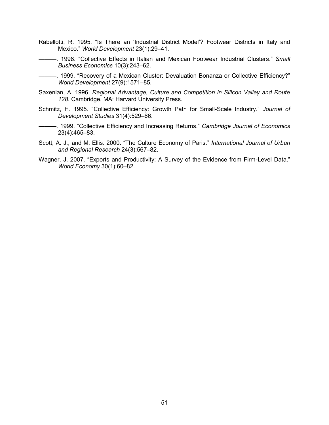- Rabellotti, R. 1995. "Is There an 'Industrial District Model'? Footwear Districts in Italy and Mexico." *World Development* 23(1):29–41.
	- ———. 1998. "Collective Effects in Italian and Mexican Footwear Industrial Clusters." *Small Business Economics* 10(3):243–62.

———. 1999. "Recovery of a Mexican Cluster: Devaluation Bonanza or Collective Efficiency?" *World Development* 27(9):1571–85.

- Saxenian, A. 1996. *Regional Advantage, Culture and Competition in Silicon Valley and Route 128*. Cambridge, MA: Harvard University Press.
- Schmitz, H. 1995. "Collective Efficiency: Growth Path for Small-Scale Industry." *Journal of Development Studies* 31(4):529–66.
- ———. 1999. "Collective Efficiency and Increasing Returns." *Cambridge Journal of Economics* 23(4):465–83.
- Scott, A. J., and M. Ellis. 2000. "The Culture Economy of Paris." *International Journal of Urban and Regional Research* 24(3):567–82.
- Wagner, J. 2007. "Exports and Productivity: A Survey of the Evidence from Firm-Level Data." *World Economy* 30(1):60–82.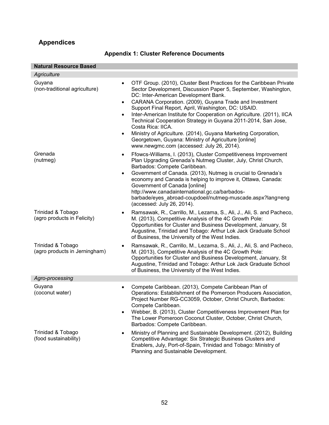# <span id="page-54-0"></span>**Appendices**

| <b>Natural Resource Based</b>                                                               |                                                                                                                                                                                                                                                                                                                                                                                                                                                                                                                                                                                                                                       |
|---------------------------------------------------------------------------------------------|---------------------------------------------------------------------------------------------------------------------------------------------------------------------------------------------------------------------------------------------------------------------------------------------------------------------------------------------------------------------------------------------------------------------------------------------------------------------------------------------------------------------------------------------------------------------------------------------------------------------------------------|
| Agriculture                                                                                 |                                                                                                                                                                                                                                                                                                                                                                                                                                                                                                                                                                                                                                       |
| Guyana<br>$\bullet$<br>(non-traditional agriculture)<br>$\bullet$<br>$\bullet$<br>$\bullet$ | OTF Group. (2010), Cluster Best Practices for the Caribbean Private<br>Sector Development, Discussion Paper 5, September, Washington,<br>DC: Inter-American Development Bank.<br>CARANA Corporation. (2009), Guyana Trade and Investment<br>Support Final Report, April, Washington, DC: USAID.<br>Inter-American Institute for Cooperation on Agriculture. (2011), IICA<br>Technical Cooperation Strategy in Guyana 2011-2014, San Jose,<br>Costa Rica: IICA.<br>Ministry of Agriculture. (2014), Guyana Marketing Corporation,<br>Georgetown, Guyana: Ministry of Agriculture [online]<br>www.newgmc.com (accessed: July 26, 2014). |
| Grenada<br>$\bullet$<br>(nutmeg)<br>$\bullet$                                               | Ffowcs-Williams, I. (2013), Cluster Competitiveness Improvement<br>Plan Upgrading Grenada's Nutmeg Cluster, July, Christ Church,<br>Barbados: Compete Caribbean.<br>Government of Canada. (2013), Nutmeg is crucial to Grenada's<br>economy and Canada is helping to improve it, Ottawa, Canada:<br>Government of Canada [online]<br>http://www.canadainternational.gc.ca/barbados-<br>barbade/eyes_abroad-coupdoeil/nutmeg-muscade.aspx?lang=eng<br>(accessed: July 26, 2014).                                                                                                                                                       |
| Trinidad & Tobago<br>$\bullet$<br>(agro products in Felicity)                               | Ramsawak, R., Carrillo, M., Lezama, S., Ali, J., Ali, S. and Pacheco,<br>M. (2013), Competitive Analysis of the 4C Growth Pole:<br>Opportunities for Cluster and Business Development, January, St<br>Augustine, Trinidad and Tobago: Arthur Lok Jack Graduate School<br>of Business, the University of the West Indies.                                                                                                                                                                                                                                                                                                              |
| Trinidad & Tobago<br>$\bullet$<br>(agro products in Jerningham)                             | Ramsawak, R., Carrillo, M., Lezama, S., Ali, J., Ali, S. and Pacheco,<br>M. (2013), Competitive Analysis of the 4C Growth Pole:<br>Opportunities for Cluster and Business Development, January, St<br>Augustine, Trinidad and Tobago: Arthur Lok Jack Graduate School<br>of Business, the University of the West Indies.                                                                                                                                                                                                                                                                                                              |
| Agro-processing                                                                             |                                                                                                                                                                                                                                                                                                                                                                                                                                                                                                                                                                                                                                       |
| Guyana<br>$\bullet$<br>(coconut water)<br>$\bullet$                                         | Compete Caribbean. (2013), Compete Caribbean Plan of<br>Operations: Establishment of the Pomeroon Producers Association,<br>Project Number RG-CC3059, October, Christ Church, Barbados:<br>Compete Caribbean.<br>Webber, B. (2013), Cluster Competitiveness Improvement Plan for<br>The Lower Pomeroon Coconut Cluster, October, Christ Church,<br>Barbados: Compete Caribbean.                                                                                                                                                                                                                                                       |
| Trinidad & Tobago<br>$\bullet$<br>(food sustainability)                                     | Ministry of Planning and Sustainable Development. (2012), Building<br>Competitive Advantage: Six Strategic Business Clusters and<br>Enablers, July, Port-of-Spain, Trinidad and Tobago: Ministry of<br>Planning and Sustainable Development.                                                                                                                                                                                                                                                                                                                                                                                          |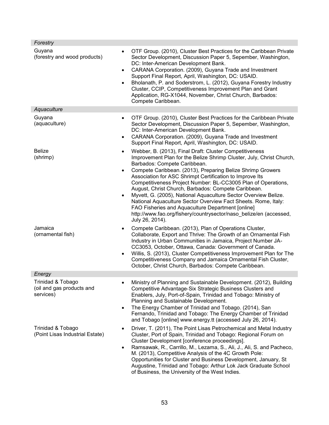| Forestry                                                                 |                                                                                                                                                                                                                                                                                                                                                                                                                                                                                                                                                                                                                                                                                                      |
|--------------------------------------------------------------------------|------------------------------------------------------------------------------------------------------------------------------------------------------------------------------------------------------------------------------------------------------------------------------------------------------------------------------------------------------------------------------------------------------------------------------------------------------------------------------------------------------------------------------------------------------------------------------------------------------------------------------------------------------------------------------------------------------|
| Guyana<br>$\bullet$<br>(forestry and wood products)<br>$\bullet$         | OTF Group. (2010), Cluster Best Practices for the Caribbean Private<br>Sector Development, Discussion Paper 5, Sepember, Washington,<br>DC: Inter-American Development Bank.<br>CARANA Corporation. (2009), Guyana Trade and Investment<br>Support Final Report, April, Washington, DC: USAID.<br>Bholanath, P. and Soderstrom, L. (2012), Guyana Forestry Industry<br>Cluster, CCIP, Competitiveness Improvement Plan and Grant<br>Application, RG-X1044, November, Christ Church, Barbados:<br>Compete Caribbean.                                                                                                                                                                                  |
| Aquaculture                                                              |                                                                                                                                                                                                                                                                                                                                                                                                                                                                                                                                                                                                                                                                                                      |
| Guyana<br>$\bullet$<br>(aquaculture)<br>$\bullet$                        | OTF Group. (2010), Cluster Best Practices for the Caribbean Private<br>Sector Development, Discussion Paper 5, Sepember, Washington,<br>DC: Inter-American Development Bank.<br>CARANA Corporation. (2009), Guyana Trade and Investment<br>Support Final Report, April, Washington, DC: USAID.                                                                                                                                                                                                                                                                                                                                                                                                       |
| <b>Belize</b><br>$\bullet$<br>(shrimp)<br>$\bullet$<br>$\bullet$         | Webber, B. (2013), Final Draft: Cluster Competitiveness<br>Improvement Plan for the Belize Shrimp Cluster, July, Christ Church,<br>Barbados: Compete Caribbean.<br>Compete Caribbean. (2013), Preparing Belize Shrimp Growers<br>Association for ASC Shrimpt Certification to Improve Its<br>Competitiveness Project Number: BL-CC3005 Plan of Operations,<br>August, Christ Church, Barbados: Compete Caribbean.<br>Myvett, G. (2005), National Aquaculture Sector Overview Belize.<br>National Aquaculture Sector Overview Fact Sheets. Rome, Italy:<br>FAO Fisheries and Aquaculture Department [online]<br>http://www.fao.org/fishery/countrysector/naso_belize/en (accessed,<br>July 26, 2014). |
| Jamaica<br>$\bullet$<br>(ornamental fish)<br>$\bullet$                   | Compete Caribbean. (2013), Plan of Operations Cluster,<br>Collaborate, Export and Thrive: The Growth of an Ornamental Fish<br>Industry in Urban Communities in Jamaica, Project Number JA-<br>CC3053, October, Ottawa, Canada: Government of Canada.<br>Willis, S. (2013), Cluster Competitiveness Improvement Plan for The<br>Competitiveness Company and Jamaica Ornamental Fish Cluster,<br>October, Christ Church, Barbados: Compete Caribbean.                                                                                                                                                                                                                                                  |
| Energy                                                                   |                                                                                                                                                                                                                                                                                                                                                                                                                                                                                                                                                                                                                                                                                                      |
| Trinidad & Tobago<br>(oil and gas products and<br>services)<br>$\bullet$ | Ministry of Planning and Sustainable Development. (2012), Building<br>Competitive Advantage-Six Strategic Business Clusters and<br>Enablers, July, Port-of-Spain, Trinidad and Tobago: Ministry of<br>Planning and Sustainable Development.<br>The Energy Chamber of Trinidad and Tobago. (2014), San<br>Fernando, Trinidad and Tobago: The Energy Chamber of Trinidad<br>and Tobago [online] www.energy.tt (accessed July 26, 2014).                                                                                                                                                                                                                                                                |
| Trinidad & Tobago<br>(Point Lisas Industrial Estate)<br>$\bullet$        | Driver, T. (2011), The Point Lisas Petrochemical and Metal Industry<br>Cluster, Port of Spain, Trinidad and Tobago: Regional Forum on<br>Cluster Development [conference proceedings].<br>Ramsawak, R., Carrillo, M., Lezama, S., Ali, J., Ali, S. and Pacheco,<br>M. (2013), Competitive Analysis of the 4C Growth Pole:<br>Opportunities for Cluster and Business Development, January, St<br>Augustine, Trinidad and Tobago: Arthur Lok Jack Graduate School<br>of Business, the University of the West Indies.                                                                                                                                                                                   |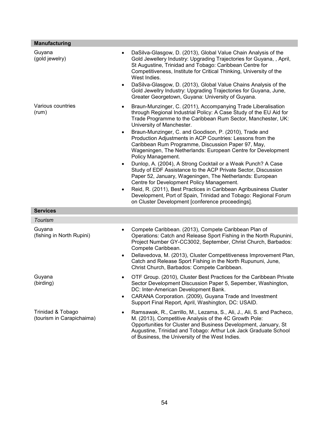| <b>Manufacturing</b>                           |                                                                                                                                                                                                                                                                                                                                                                                                                                                                                                                                                                                                                                                                                                                                                                                                                                                                                                                                                                                               |
|------------------------------------------------|-----------------------------------------------------------------------------------------------------------------------------------------------------------------------------------------------------------------------------------------------------------------------------------------------------------------------------------------------------------------------------------------------------------------------------------------------------------------------------------------------------------------------------------------------------------------------------------------------------------------------------------------------------------------------------------------------------------------------------------------------------------------------------------------------------------------------------------------------------------------------------------------------------------------------------------------------------------------------------------------------|
| Guyana<br>(gold jewelry)                       | DaSilva-Glasgow, D. (2013), Global Value Chain Analysis of the<br>$\bullet$<br>Gold Jewellery Industry: Upgrading Trajectories for Guyana,, April,<br>St Augustine, Trinidad and Tobago: Caribbean Centre for<br>Competitiveness, Institute for Critical Thinking, University of the<br>West Indies.<br>DaSilva-Glasgow, D. (2013), Global Value Chains Analysis of the<br>$\bullet$<br>Gold Jewellry Industry: Upgrading Trajectories for Guyana, June,<br>Greater Georgetown, Guyana: University of Guyana.                                                                                                                                                                                                                                                                                                                                                                                                                                                                                 |
| Various countries<br>(rum)                     | Braun-Munzinger, C. (2011), Accompanying Trade Liberalisation<br>$\bullet$<br>through Regional Industrial Policy: A Case Study of the EU Aid for<br>Trade Programme to the Caribbean Rum Sector, Manchester, UK:<br>University of Manchester.<br>Braun-Munzinger, C. and Goodison, P. (2010), Trade and<br>$\bullet$<br>Production Adjustments in ACP Countries: Lessons from the<br>Caribbean Rum Programme, Discussion Paper 97, May,<br>Wageningen, The Netherlands: European Centre for Development<br>Policy Management.<br>Dunlop, A. (2004), A Strong Cocktail or a Weak Punch? A Case<br>$\bullet$<br>Study of EDF Assistance to the ACP Private Sector, Discussion<br>Paper 52, January, Wageningen, The Netherlands: European<br>Centre for Development Policy Management.<br>Reid, R. (2011), Best Practices in Caribbean Agribusiness Cluster<br>$\bullet$<br>Development, Port of Spain, Trinidad and Tobago: Regional Forum<br>on Cluster Development [conference proceedings]. |
| <b>Services</b>                                |                                                                                                                                                                                                                                                                                                                                                                                                                                                                                                                                                                                                                                                                                                                                                                                                                                                                                                                                                                                               |
| <b>Tourism</b>                                 |                                                                                                                                                                                                                                                                                                                                                                                                                                                                                                                                                                                                                                                                                                                                                                                                                                                                                                                                                                                               |
| Guyana<br>(fishing in North Rupini)            | Compete Caribbean. (2013), Compete Caribbean Plan of<br>$\bullet$<br>Operations: Catch and Release Sport Fishing in the North Rupunini,<br>Project Number GY-CC3002, September, Christ Church, Barbados:<br>Compete Caribbean.<br>Dellavedova, M. (2013), Cluster Competitiveness Improvement Plan,<br>$\bullet$<br>Catch and Release Sport Fishing in the North Rupununi, June,<br>Christ Church, Barbados: Compete Caribbean.                                                                                                                                                                                                                                                                                                                                                                                                                                                                                                                                                               |
| Guyana<br>(birding)                            | OTF Group. (2010), Cluster Best Practices for the Caribbean Private<br>Sector Development Discussion Paper 5, Sepember, Washington,<br>DC: Inter-American Development Bank.<br>CARANA Corporation. (2009), Guyana Trade and Investment<br>$\bullet$<br>Support Final Report, April, Washington, DC: USAID.                                                                                                                                                                                                                                                                                                                                                                                                                                                                                                                                                                                                                                                                                    |
| Trinidad & Tobago<br>(tourism in Carapichaima) | Ramsawak, R., Carrillo, M., Lezama, S., Ali, J., Ali, S. and Pacheco,<br>M. (2013), Competitive Analysis of the 4C Growth Pole:<br>Opportunities for Cluster and Business Development, January, St<br>Augustine, Trinidad and Tobago: Arthur Lok Jack Graduate School<br>of Business, the University of the West Indies.                                                                                                                                                                                                                                                                                                                                                                                                                                                                                                                                                                                                                                                                      |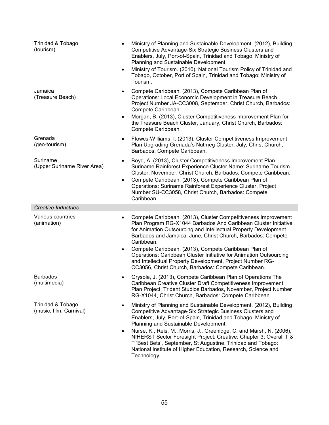| Trinidad & Tobago<br>(tourism)               | Ministry of Planning and Sustainable Development. (2012), Building<br>$\bullet$<br>Competitive Advantage-Six Strategic Business Clusters and<br>Enablers, July, Port-of-Spain, Trinidad and Tobago: Ministry of<br>Planning and Sustainable Development.<br>Ministry of Tourism. (2010), National Tourism Policy of Trinidad and<br>$\bullet$<br>Tobago, October, Port of Spain, Trinidad and Tobago: Ministry of<br>Tourism.                                                                                                                                       |
|----------------------------------------------|---------------------------------------------------------------------------------------------------------------------------------------------------------------------------------------------------------------------------------------------------------------------------------------------------------------------------------------------------------------------------------------------------------------------------------------------------------------------------------------------------------------------------------------------------------------------|
| Jamaica<br>(Treasure Beach)                  | Compete Caribbean. (2013), Compete Caribbean Plan of<br>$\bullet$<br>Operations: Local Economic Development in Treasure Beach,<br>Project Number JA-CC3008, September, Christ Church, Barbados:<br>Compete Caribbean.<br>Morgan, B. (2013), Cluster Competitiveness Improvement Plan for<br>$\bullet$<br>the Treasure Beach Cluster, January, Christ Church, Barbados:<br>Compete Caribbean.                                                                                                                                                                        |
| Grenada<br>(geo-tourism)                     | Ffowcs-Williams, I. (2013), Cluster Competitiveness Improvement<br>$\bullet$<br>Plan Upgrading Grenada's Nutmeg Cluster, July, Christ Church,<br>Barbados: Compete Caribbean.                                                                                                                                                                                                                                                                                                                                                                                       |
| Suriname<br>(Upper Suriname River Area)      | Boyd, A. (2013), Cluster Competitiveness Improvement Plan<br>$\bullet$<br>Suriname Rainforest Experience Cluster Name: Suriname Tourism<br>Cluster, November, Christ Church, Barbados: Compete Caribbean.<br>Compete Caribbean. (2013), Compete Caribbean Plan of<br>$\bullet$<br>Operations: Suriname Rainforest Experience Cluster, Project<br>Number SU-CC3058, Christ Church, Barbados: Compete<br>Caribbean.                                                                                                                                                   |
| <b>Creative Industries</b>                   |                                                                                                                                                                                                                                                                                                                                                                                                                                                                                                                                                                     |
| Various countries<br>(animation)             | Compete Caribbean. (2013), Cluster Competitiveness Improvement<br>$\bullet$<br>Plan Program RG-X1044 Barbados And Caribbean Cluster Initiative<br>for Animation Outsourcing and Intellectual Property Development<br>Barbados and Jamaica, June, Christ Church, Barbados: Compete<br>Caribbean.<br>Compete Caribbean. (2013), Compete Caribbean Plan of<br>Operations: Caribbean Cluster Initiative for Animation Outsourcing<br>and Intellectual Property Development, Project Number RG-<br>CC3056, Christ Church, Barbados: Compete Caribbean.                   |
| <b>Barbados</b><br>(multimedia)              | Grysole, J. (2013), Compete Caribbean Plan of Operations The<br>Caribbean Creative Cluster Draft Competitiveness Improvement<br>Plan Project: Trident Studios Barbados, November, Project Number<br>RG-X1044, Christ Church, Barbados: Compete Caribbean.                                                                                                                                                                                                                                                                                                           |
| Trinidad & Tobago<br>(music, film, Carnival) | Ministry of Planning and Sustainable Development. (2012), Building<br>$\bullet$<br>Competitive Advantage-Six Strategic Business Clusters and<br>Enablers, July, Port-of-Spain, Trinidad and Tobago: Ministry of<br>Planning and Sustainable Development.<br>Nurse, K., Reis, M., Morris, J., Greenidge, C. and Marsh, N. (2006),<br>$\bullet$<br>NIHERST Sector Foresight Project: Creative: Chapter 3: Overall T &<br>T 'Best Bets', September, St Augustine, Trinidad and Tobago:<br>National Institute of Higher Education, Research, Science and<br>Technology. |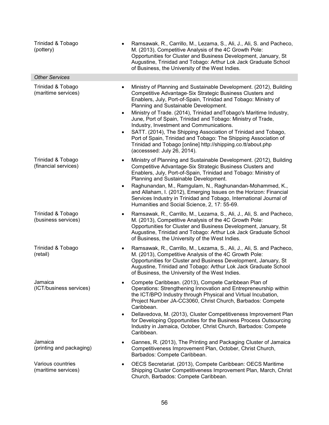| Trinidad & Tobago<br>(pottery)            | Ramsawak, R., Carrillo, M., Lezama, S., Ali, J., Ali, S. and Pacheco,<br>M. (2013), Competitive Analysis of the 4C Growth Pole:<br>Opportunities for Cluster and Business Development, January, St<br>Augustine, Trinidad and Tobago: Arthur Lok Jack Graduate School<br>of Business, the University of the West Indies.                                                                                                                                                                                                                                                                                                                                                                     |
|-------------------------------------------|----------------------------------------------------------------------------------------------------------------------------------------------------------------------------------------------------------------------------------------------------------------------------------------------------------------------------------------------------------------------------------------------------------------------------------------------------------------------------------------------------------------------------------------------------------------------------------------------------------------------------------------------------------------------------------------------|
| <b>Other Services</b>                     |                                                                                                                                                                                                                                                                                                                                                                                                                                                                                                                                                                                                                                                                                              |
| Trinidad & Tobago<br>(maritime services)  | Ministry of Planning and Sustainable Development. (2012), Building<br>Competitive Advantage-Six Strategic Business Clusters and<br>Enablers, July, Port-of-Spain, Trinidad and Tobago: Ministry of<br>Planning and Sustainable Development.<br>Ministry of Trade. (2014), Trinidad and Tobago's Maritime Industry,<br>$\bullet$<br>June, Port of Spain, Trinidad and Tobago: Ministry of Trade,<br>Industry, Investment and Communications.<br>SATT. (2014), The Shipping Association of Trinidad and Tobago,<br>$\bullet$<br>Port of Spain, Trinidad and Tobago: The Shipping Association of<br>Trinidad and Tobago [online] http://shipping.co.tt/about.php<br>(accesssed: July 26, 2014). |
| Trinidad & Tobago<br>(financial services) | Ministry of Planning and Sustainable Development. (2012), Building<br>Competitive Advantage-Six Strategic Business Clusters and<br>Enablers, July, Port-of-Spain, Trinidad and Tobago: Ministry of<br>Planning and Sustainable Development.<br>Raghunandan, M., Ramgulam, N., Raghunandan-Mohammed, K.,<br>$\bullet$<br>and Allaham, I. (2012), Emerging Issues on the Horizon: Financial<br>Services Industry in Trinidad and Tobago, International Journal of<br>Humanities and Social Science, 2, 17: 55-69.                                                                                                                                                                              |
| Trinidad & Tobago<br>(business services)  | Ramsawak, R., Carrillo, M., Lezama, S., Ali, J., Ali, S. and Pacheco,<br>M. (2013), Competitive Analysis of the 4C Growth Pole:<br>Opportunities for Cluster and Business Development, January, St<br>Augustine, Trinidad and Tobago: Arthur Lok Jack Graduate School<br>of Business, the University of the West Indies.                                                                                                                                                                                                                                                                                                                                                                     |
| Trinidad & Tobago<br>(retail)             | Ramsawak, R., Carrillo, M., Lezama, S., Ali, J., Ali, S. and Pacheco,<br>M. (2013), Competitive Analysis of the 4C Growth Pole:<br>Opportunities for Cluster and Business Development, January, St<br>Augustine, Trinidad and Tobago: Arthur Lok Jack Graduate School<br>of Business, the University of the West Indies.                                                                                                                                                                                                                                                                                                                                                                     |
| Jamaica<br>(ICT/business services)        | Compete Caribbean. (2013), Compete Caribbean Plan of<br>Operations: Strengthening Innovation and Entrepreneurship within<br>the ICT/BPO Industry through Physical and Virtual Incubation,<br>Project Number JA-CC3060, Christ Church, Barbados: Compete<br>Caribbean.<br>Dellavedova, M. (2013), Cluster Competitiveness Improvement Plan<br>$\bullet$<br>for Developing Opportunities for the Business Process Outsourcing<br>Industry in Jamaica, October, Christ Church, Barbados: Compete<br>Caribbean.                                                                                                                                                                                  |
| Jamaica<br>(printing and packaging)       | Gannes, R. (2013), The Printing and Packaging Cluster of Jamaica<br>Competitiveness Improvement Plan, October, Christ Church,<br>Barbados: Compete Caribbean.                                                                                                                                                                                                                                                                                                                                                                                                                                                                                                                                |
| Various countries<br>(maritime services)  | OECS Secretariat. (2013), Compete Caribbean: OECS Maritime<br>$\bullet$<br>Shipping Cluster Competitiveness Improvement Plan, March, Christ<br>Church, Barbados: Compete Caribbean.                                                                                                                                                                                                                                                                                                                                                                                                                                                                                                          |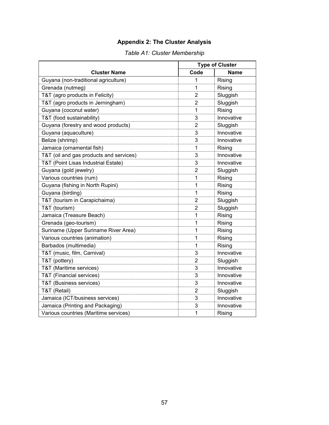### **Appendix 2: The Cluster Analysis**

|                                         | <b>Type of Cluster</b> |            |  |
|-----------------------------------------|------------------------|------------|--|
| <b>Cluster Name</b>                     | Code                   | Name       |  |
| Guyana (non-traditional agriculture)    | 1                      | Rising     |  |
| Grenada (nutmeg)                        | 1                      | Rising     |  |
| T&T (agro products in Felicity)         | $\overline{2}$         | Sluggish   |  |
| T&T (agro products in Jerningham)       | $\overline{2}$         | Sluggish   |  |
| Guyana (coconut water)                  | 1                      | Rising     |  |
| T&T (food sustainability)               | 3                      | Innovative |  |
| Guyana (forestry and wood products)     | $\overline{2}$         | Sluggish   |  |
| Guyana (aquaculture)                    | 3                      | Innovative |  |
| Belize (shrimp)                         | 3                      | Innovative |  |
| Jamaica (ornamental fish)               | 1                      | Rising     |  |
| T&T (oil and gas products and services) | 3                      | Innovative |  |
| T&T (Point Lisas Industrial Estate)     | 3                      | Innovative |  |
| Guyana (gold jewelry)                   | 2                      | Sluggish   |  |
| Various countries (rum)                 | 1                      | Rising     |  |
| Guyana (fishing in North Rupini)        | 1                      | Rising     |  |
| Guyana (birding)                        | 1                      | Rising     |  |
| T&T (tourism in Carapichaima)           | 2                      | Sluggish   |  |
| T&T (tourism)                           | $\overline{2}$         | Sluggish   |  |
| Jamaica (Treasure Beach)                | 1                      | Rising     |  |
| Grenada (geo-tourism)                   | 1                      | Rising     |  |
| Suriname (Upper Suriname River Area)    | 1                      | Rising     |  |
| Various countries (animation)           | 1                      | Rising     |  |
| Barbados (multimedia)                   | 1                      | Rising     |  |
| T&T (music, film, Carnival)             | 3                      | Innovative |  |
| T&T (pottery)                           | $\overline{2}$         | Sluggish   |  |
| T&T (Maritime services)                 | 3                      | Innovative |  |
| T&T (Financial services)                | 3                      | Innovative |  |
| T&T (Business services)                 | 3                      | Innovative |  |
| T&T (Retail)                            | $\overline{2}$         | Sluggish   |  |
| Jamaica (ICT/business services)         | 3                      | Innovative |  |
| Jamaica (Printing and Packaging)        | 3                      | Innovative |  |
| Various countries (Maritime services)   | 1                      | Rising     |  |

### *Table A1: Cluster Membership*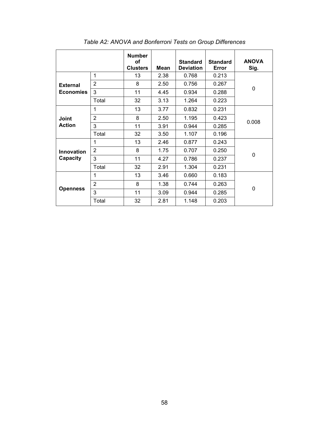|                                     |                | <b>Number</b><br>of<br><b>Clusters</b> | Mean | <b>Standard</b><br><b>Deviation</b> | <b>Standard</b><br>Error | <b>ANOVA</b><br>Sig. |  |
|-------------------------------------|----------------|----------------------------------------|------|-------------------------------------|--------------------------|----------------------|--|
| <b>External</b><br><b>Economies</b> | 1              | 13                                     | 2.38 | 0.768                               | 0.213                    |                      |  |
|                                     | $\overline{2}$ | 8                                      | 2.50 | 0.756                               | 0.267                    | 0                    |  |
|                                     | 3              | 11                                     | 4.45 | 0.934                               | 0.288                    |                      |  |
|                                     | Total          | 32                                     | 3.13 | 1.264                               | 0.223                    |                      |  |
| Joint<br><b>Action</b>              | 1              | 13                                     | 3.77 | 0.832                               | 0.231                    | 0.008                |  |
|                                     | $\overline{2}$ | 8                                      | 2.50 | 1.195                               | 0.423                    |                      |  |
|                                     | 3              | 11                                     | 3.91 | 0.944                               | 0.285                    |                      |  |
|                                     | Total          | 32                                     | 3.50 | 1.107                               | 0.196                    |                      |  |
| <b>Innovation</b><br>Capacity       | 1              | 13                                     | 2.46 | 0.877                               | 0.243                    | 0                    |  |
|                                     | $\overline{2}$ | 8                                      | 1.75 | 0.707                               | 0.250                    |                      |  |
|                                     | 3              | 11                                     | 4.27 | 0.786                               | 0.237                    |                      |  |
|                                     | Total          | 32                                     | 2.91 | 1.304                               | 0.231                    |                      |  |
| <b>Openness</b>                     | 1              | 13                                     | 3.46 | 0.660                               | 0.183                    | 0                    |  |
|                                     | $\overline{2}$ | 8                                      | 1.38 | 0.744                               | 0.263                    |                      |  |
|                                     | 3              | 11                                     | 3.09 | 0.944                               | 0.285                    |                      |  |
|                                     | Total          | 32                                     | 2.81 | 1.148                               | 0.203                    |                      |  |

*Table A2: ANOVA and Bonferroni Tests on Group Differences*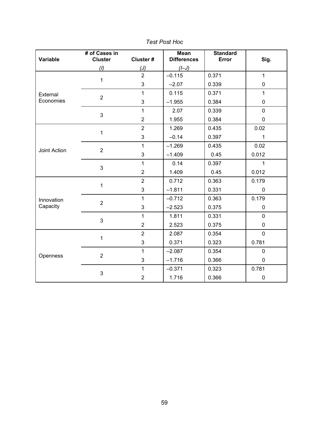| Variable     | # of Cases in<br><b>Cluster</b> | Cluster#       | <b>Mean</b><br><b>Differences</b> | <b>Standard</b><br>Error | Sig.         |
|--------------|---------------------------------|----------------|-----------------------------------|--------------------------|--------------|
|              | (1)                             | (J)            | $($ -J $)$                        |                          |              |
|              | 1                               | $\overline{2}$ | $-0.115$                          | 0.371                    | $\mathbf{1}$ |
|              |                                 | 3              | $-2.07$                           | 0.339                    | $\pmb{0}$    |
| External     | $\overline{2}$                  | 1              | 0.115                             | 0.371                    | $\mathbf{1}$ |
| Economies    |                                 | 3              | $-1.955$                          | 0.384                    | $\pmb{0}$    |
|              | 3                               | $\mathbf{1}$   | 2.07                              | 0.339                    | $\pmb{0}$    |
|              |                                 | $\overline{2}$ | 1.955                             | 0.384                    | $\pmb{0}$    |
|              | $\mathbf{1}$                    | $\overline{2}$ | 1.269                             | 0.435                    | 0.02         |
|              |                                 | 3              | $-0.14$                           | 0.397                    | 1            |
|              | $\overline{2}$                  | $\mathbf{1}$   | $-1.269$                          | 0.435                    | 0.02         |
| Joint Action |                                 | 3              | $-1.409$                          | 0.45                     | 0.012        |
|              | 3                               | $\mathbf{1}$   | 0.14                              | 0.397                    | $\mathbf{1}$ |
|              |                                 | $\overline{2}$ | 1.409                             | 0.45                     | 0.012        |
|              | 1                               | $\overline{2}$ | 0.712                             | 0.363                    | 0.179        |
|              |                                 | 3              | $-1.811$                          | 0.331                    | $\mathbf{0}$ |
| Innovation   | $\overline{2}$                  | $\mathbf{1}$   | $-0.712$                          | 0.363                    | 0.179        |
| Capacity     |                                 | 3              | $-2.523$                          | 0.375                    | $\pmb{0}$    |
|              | 3                               | $\mathbf{1}$   | 1.811                             | 0.331                    | $\mathbf 0$  |
|              |                                 | $\overline{2}$ | 2.523                             | 0.375                    | $\mathbf 0$  |
|              | 1                               | $\overline{2}$ | 2.087                             | 0.354                    | $\mathbf 0$  |
|              |                                 | 3              | 0.371                             | 0.323                    | 0.781        |
|              | $\overline{2}$                  | $\mathbf{1}$   | $-2.087$                          | 0.354                    | $\pmb{0}$    |
| Openness     |                                 | 3              | $-1.716$                          | 0.366                    | 0            |
|              | 3                               | $\mathbf{1}$   | $-0.371$                          | 0.323                    | 0.781        |
|              |                                 | $\overline{2}$ | 1.716                             | 0.366                    | 0            |

*Test Post Hoc*